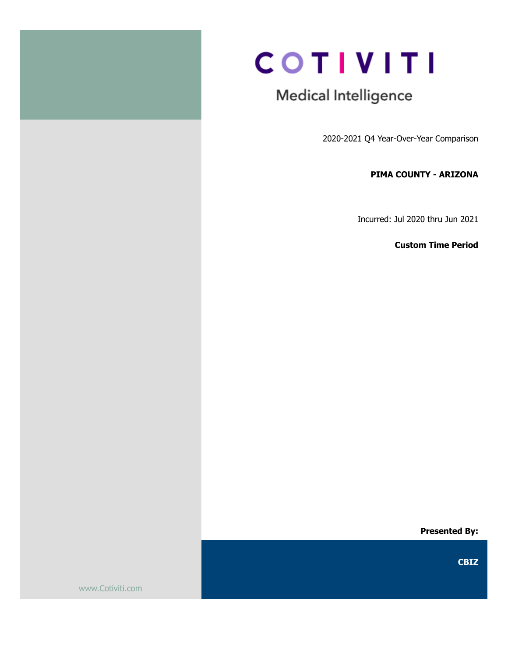

# **COTIVITI**

# Medical Intelligence

2020-2021 Q4 Year-Over-Year Comparison

### PIMA COUNTY - ARIZONA

Incurred: Jul 2020 thru Jun 2021

Custom Time Period

Presented By:

CBIZ

www.Cotiviti.com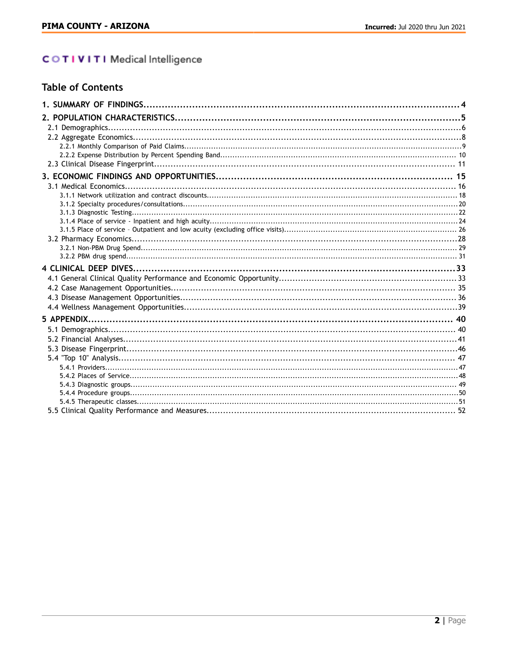# COTIVITI Medical Intelligence

|  |  | <b>Table of Contents</b> |  |
|--|--|--------------------------|--|
|  |  |                          |  |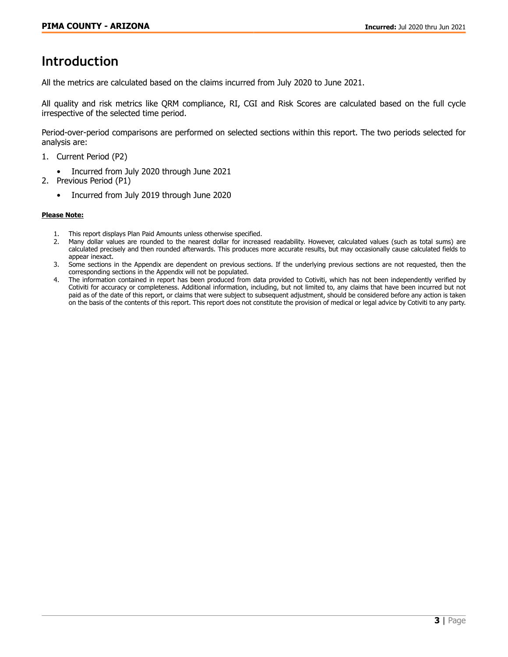# **Introduction**

All the metrics are calculated based on the claims incurred from July 2020 to June 2021.

All quality and risk metrics like QRM compliance, RI, CGI and Risk Scores are calculated based on the full cycle irrespective of the selected time period.

Period-over-period comparisons are performed on selected sections within this report. The two periods selected for analysis are:

- 1. Current Period (P2)
	- Incurred from July 2020 through June 2021
- 2. Previous Period (P1)
	- Incurred from July 2019 through June 2020

#### Please Note:

- 1. This report displays Plan Paid Amounts unless otherwise specified.
- 2. Many dollar values are rounded to the nearest dollar for increased readability. However, calculated values (such as total sums) are calculated precisely and then rounded afterwards. This produces more accurate results, but may occasionally cause calculated fields to appear inexact.
- 3. Some sections in the Appendix are dependent on previous sections. If the underlying previous sections are not requested, then the corresponding sections in the Appendix will not be populated.
- 4. The information contained in report has been produced from data provided to Cotiviti, which has not been independently verified by Cotiviti for accuracy or completeness. Additional information, including, but not limited to, any claims that have been incurred but not paid as of the date of this report, or claims that were subject to subsequent adjustment, should be considered before any action is taken on the basis of the contents of this report. This report does not constitute the provision of medical or legal advice by Cotiviti to any party.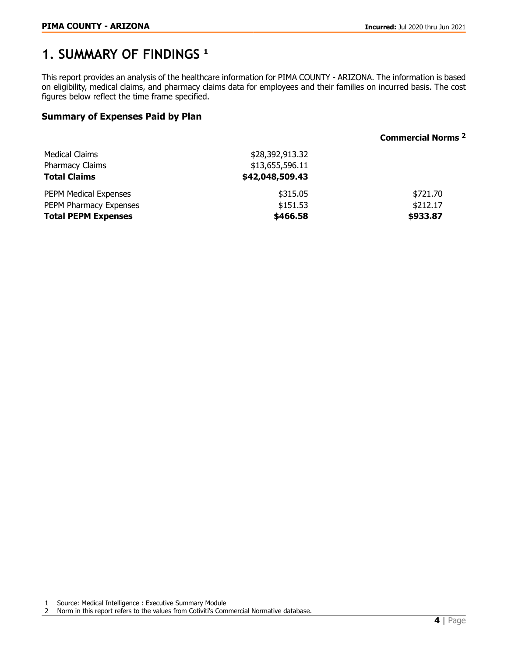# <span id="page-3-0"></span>**1. SUMMARY OF FINDINGS** <sup>1</sup>

This report provides an analysis of the healthcare information for PIMA COUNTY - ARIZONA. The information is based on eligibility, medical claims, and pharmacy claims data for employees and their families on incurred basis. The cost figures below reflect the time frame specified.

# Summary of Expenses Paid by Plan

#### Commercial Norms <sup>2</sup>

| Medical Claims<br><b>Pharmacy Claims</b><br><b>Total Claims</b> | \$28,392,913.32<br>\$13,655,596.11<br>\$42,048,509.43 |          |
|-----------------------------------------------------------------|-------------------------------------------------------|----------|
| <b>PEPM Medical Expenses</b>                                    | \$315.05                                              | \$721.70 |
| PEPM Pharmacy Expenses                                          | \$151.53                                              | \$212.17 |
| <b>Total PEPM Expenses</b>                                      | \$466.58                                              | \$933.87 |

1 Source: Medical Intelligence : Executive Summary Module

2 Norm in this report refers to the values from Cotiviti's Commercial Normative database.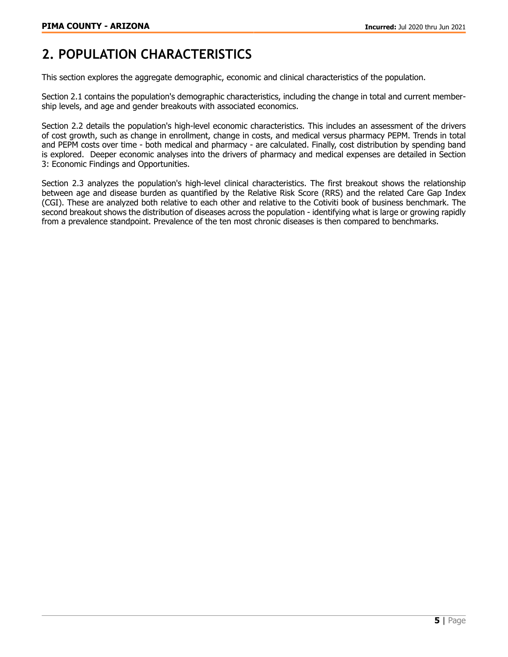# <span id="page-4-0"></span>**2. POPULATION CHARACTERISTICS**

This section explores the aggregate demographic, economic and clinical characteristics of the population.

Section 2.1 contains the population's demographic characteristics, including the change in total and current membership levels, and age and gender breakouts with associated economics.

Section 2.2 details the population's high-level economic characteristics. This includes an assessment of the drivers of cost growth, such as change in enrollment, change in costs, and medical versus pharmacy PEPM. Trends in total and PEPM costs over time - both medical and pharmacy - are calculated. Finally, cost distribution by spending band is explored. Deeper economic analyses into the drivers of pharmacy and medical expenses are detailed in Section 3: Economic Findings and Opportunities.

Section 2.3 analyzes the population's high-level clinical characteristics. The first breakout shows the relationship between age and disease burden as quantified by the Relative Risk Score (RRS) and the related Care Gap Index (CGI). These are analyzed both relative to each other and relative to the Cotiviti book of business benchmark. The second breakout shows the distribution of diseases across the population - identifying what is large or growing rapidly from a prevalence standpoint. Prevalence of the ten most chronic diseases is then compared to benchmarks.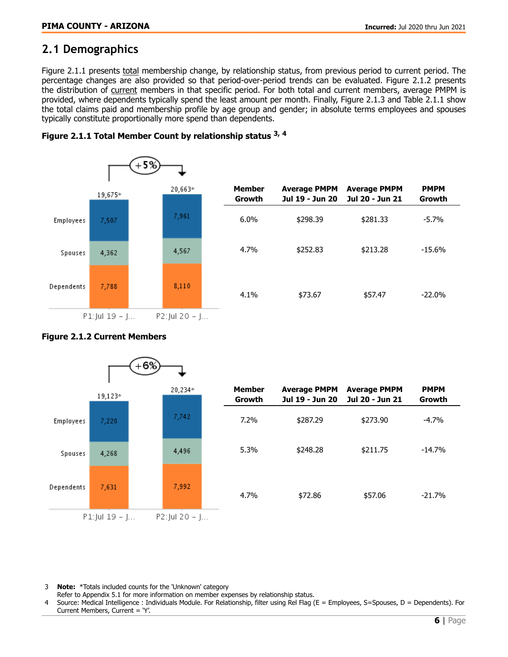# <span id="page-5-0"></span>**2.1 Demographics**

Figure 2.1.1 presents total membership change, by relationship status, from previous period to current period. The percentage changes are also provided so that period-over-period trends can be evaluated. Figure 2.1.2 presents the distribution of current members in that specific period. For both total and current members, average PMPM is provided, where dependents typically spend the least amount per month. Finally, Figure 2.1.3 and Table 2.1.1 show the total claims paid and membership profile by age group and gender; in absolute terms employees and spouses typically constitute proportionally more spend than dependents.





#### Figure 2.1.2 Current Members



3 Note: \*Totals included counts for the 'Unknown' category

- Refer to Appendix 5.1 for more information on member expenses by relationship status.
- Source: Medical Intelligence : Individuals Module. For Relationship, filter using Rel Flag (E = Employees, S=Spouses, D = Dependents). For Current Members, Current = 'Y'.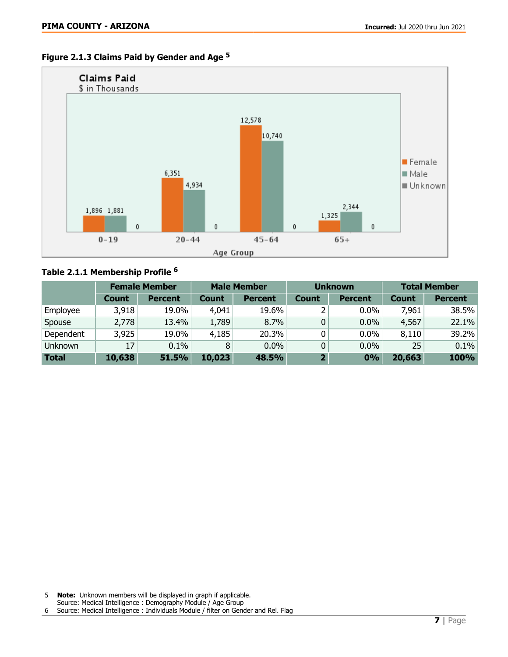



# Table 2.1.1 Membership Profile <sup>6</sup>

|                |              | <b>Female Member</b> | <b>Male Member</b> |                | <b>Unknown</b> |                | <b>Total Member</b> |                |
|----------------|--------------|----------------------|--------------------|----------------|----------------|----------------|---------------------|----------------|
|                | <b>Count</b> | <b>Percent</b>       | <b>Count</b>       | <b>Percent</b> | <b>Count</b>   | <b>Percent</b> | <b>Count</b>        | <b>Percent</b> |
| Employee       | 3,918        | 19.0%                | 4,041              | 19.6%          |                | $0.0\%$        | 7,961               | 38.5%          |
| Spouse         | 2,778        | 13.4%                | 1,789              | 8.7%           | 0              | 0.0%           | 4,567               | 22.1%          |
| Dependent      | 3,925        | 19.0%                | 4,185              | 20.3%          | 0              | 0.0%           | 8,110               | 39.2%          |
| <b>Unknown</b> | 17           | 0.1%                 |                    | $0.0\%$        | 0              | 0.0%           | 25                  | 0.1%           |
| <b>Total</b>   | 10,638       | 51.5%                | 10,023             | 48.5%          | $\mathbf{2}$   | 0%             | 20,663              | 100%           |

Source: Medical Intelligence : Demography Module / Age Group

<sup>6</sup> Source: Medical Intelligence : Individuals Module / filter on Gender and Rel. Flag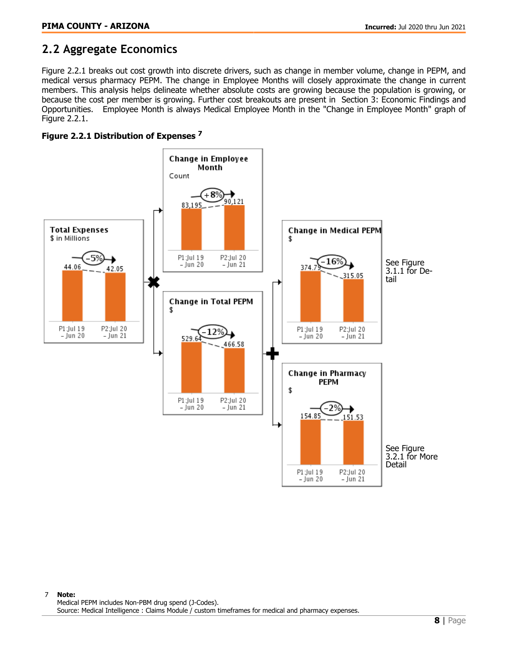# <span id="page-7-0"></span>**2.2 Aggregate Economics**

Figure 2.2.1 breaks out cost growth into discrete drivers, such as change in member volume, change in PEPM, and medical versus pharmacy PEPM. The change in Employee Months will closely approximate the change in current members. This analysis helps delineate whether absolute costs are growing because the population is growing, or because the cost per member is growing. Further cost breakouts are present in Section 3: Economic Findings and Opportunities. Employee Month is always Medical Employee Month in the "Change in Employee Month" graph of Figure 2.2.1.



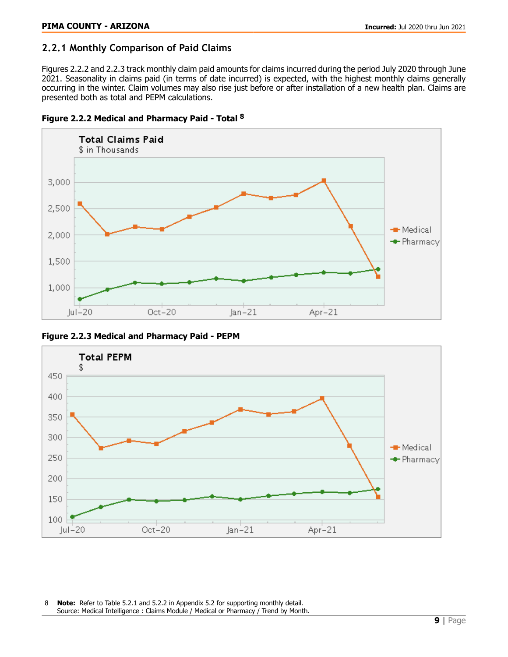# <span id="page-8-0"></span>**2.2.1 Monthly Comparison of Paid Claims**

Figures 2.2.2 and 2.2.3 track monthly claim paid amounts for claims incurred during the period July 2020 through June 2021. Seasonality in claims paid (in terms of date incurred) is expected, with the highest monthly claims generally occurring in the winter. Claim volumes may also rise just before or after installation of a new health plan. Claims are presented both as total and PEPM calculations.





Figure 2.2.3 Medical and Pharmacy Paid - PEPM



8 **Note:** Refer to Table 5.2.1 and 5.2.2 in Appendix 5.2 for supporting monthly detail. Source: Medical Intelligence : Claims Module / Medical or Pharmacy / Trend by Month.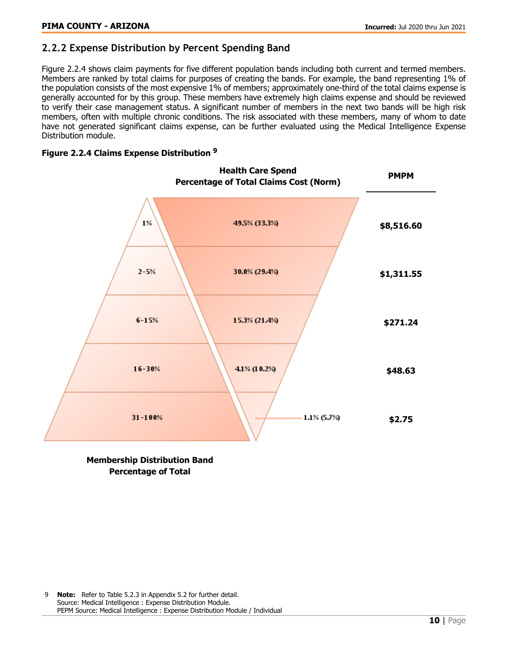# <span id="page-9-0"></span>**2.2.2 Expense Distribution by Percent Spending Band**

Figure 2.2.4 shows claim payments for five different population bands including both current and termed members. Members are ranked by total claims for purposes of creating the bands. For example, the band representing 1% of the population consists of the most expensive 1% of members; approximately one-third of the total claims expense is generally accounted for by this group. These members have extremely high claims expense and should be reviewed to verify their case management status. A significant number of members in the next two bands will be high risk members, often with multiple chronic conditions. The risk associated with these members, many of whom to date have not generated significant claims expense, can be further evaluated using the Medical Intelligence Expense Distribution module.

### Figure 2.2.4 Claims Expense Distribution <sup>9</sup>



#### Membership Distribution Band Percentage of Total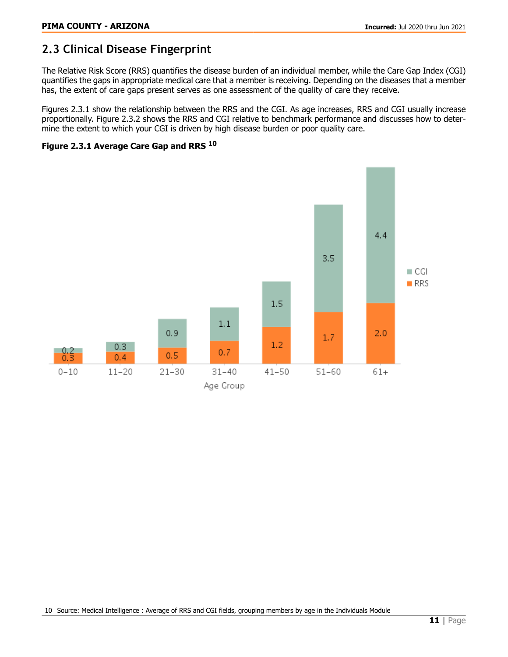# <span id="page-10-0"></span>**2.3 Clinical Disease Fingerprint**

The Relative Risk Score (RRS) quantifies the disease burden of an individual member, while the Care Gap Index (CGI) quantifies the gaps in appropriate medical care that a member is receiving. Depending on the diseases that a member has, the extent of care gaps present serves as one assessment of the quality of care they receive.

Figures 2.3.1 show the relationship between the RRS and the CGI. As age increases, RRS and CGI usually increase proportionally. Figure 2.3.2 shows the RRS and CGI relative to benchmark performance and discusses how to determine the extent to which your CGI is driven by high disease burden or poor quality care.



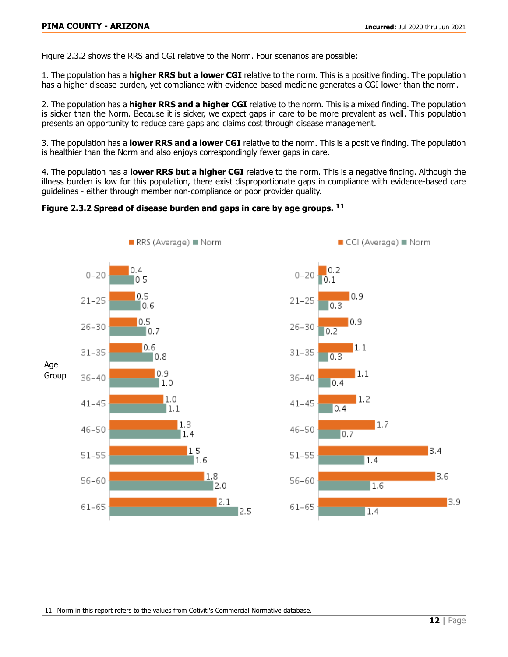Figure 2.3.2 shows the RRS and CGI relative to the Norm. Four scenarios are possible:

1. The population has a **higher RRS but a lower CGI** relative to the norm. This is a positive finding. The population has a higher disease burden, yet compliance with evidence-based medicine generates a CGI lower than the norm.

2. The population has a **higher RRS and a higher CGI** relative to the norm. This is a mixed finding. The population is sicker than the Norm. Because it is sicker, we expect gaps in care to be more prevalent as well. This population presents an opportunity to reduce care gaps and claims cost through disease management.

3. The population has a lower RRS and a lower CGI relative to the norm. This is a positive finding. The population is healthier than the Norm and also enjoys correspondingly fewer gaps in care.

4. The population has a **lower RRS but a higher CGI** relative to the norm. This is a negative finding. Although the illness burden is low for this population, there exist disproportionate gaps in compliance with evidence-based care guidelines - either through member non-compliance or poor provider quality.

#### Figure 2.3.2 Spread of disease burden and gaps in care by age groups. <sup>11</sup>





11 Norm in this report refers to the values from Cotiviti's Commercial Normative database.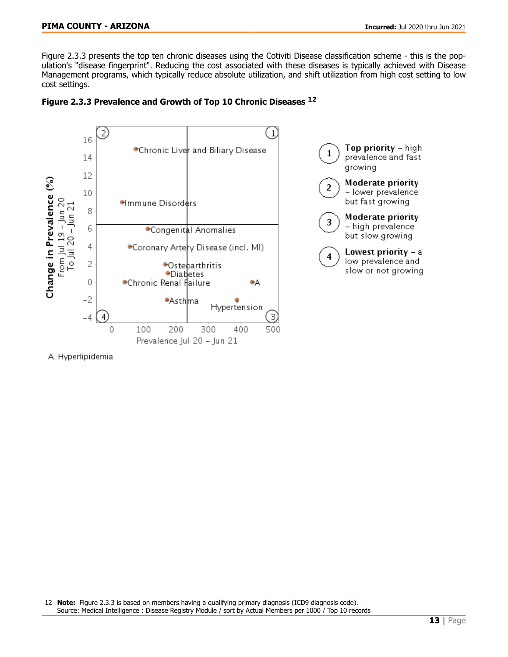Figure 2.3.3 presents the top ten chronic diseases using the Cotiviti Disease classification scheme - this is the population's "disease fingerprint". Reducing the cost associated with these diseases is typically achieved with Disease Management programs, which typically reduce absolute utilization, and shift utilization from high cost setting to low cost settings.





A Hyperlipidemia

12 Note: Figure 2.3.3 is based on members having a qualifying primary diagnosis (ICD9 diagnosis code). Source: Medical Intelligence : Disease Registry Module / sort by Actual Members per 1000 / Top 10 records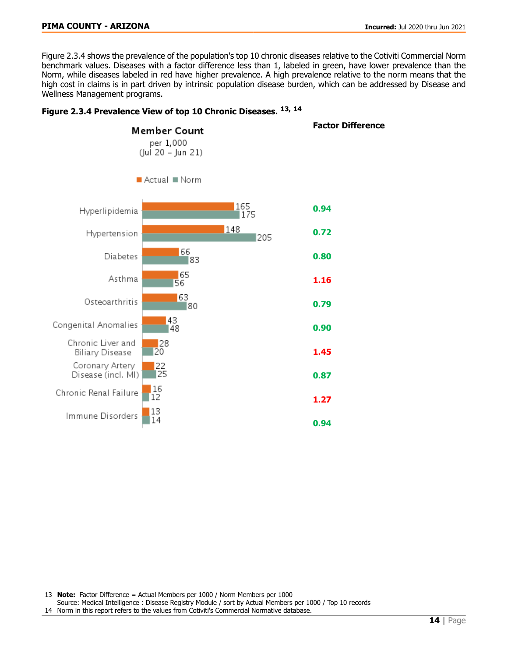#### **PIMA COUNTY - ARIZONA Incurred:** Jul 2020 thru Jun 2021

Figure 2.3.4 shows the prevalence of the population's top 10 chronic diseases relative to the Cotiviti Commercial Norm benchmark values. Diseases with a factor difference less than 1, labeled in green, have lower prevalence than the Norm, while diseases labeled in red have higher prevalence. A high prevalence relative to the norm means that the high cost in claims is in part driven by intrinsic population disease burden, which can be addressed by Disease and Wellness Management programs.



#### Figure 2.3.4 Prevalence View of top 10 Chronic Diseases. 13, <sup>14</sup>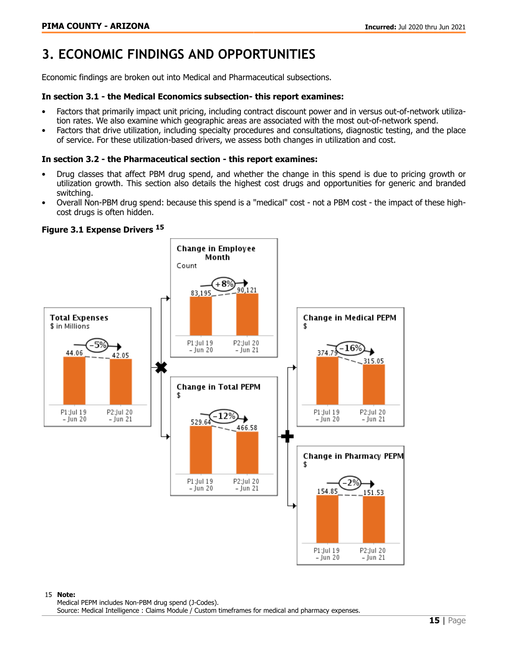# <span id="page-14-0"></span>**3. ECONOMIC FINDINGS AND OPPORTUNITIES**

Economic findings are broken out into Medical and Pharmaceutical subsections.

#### In section 3.1 - the Medical Economics subsection- this report examines:

- Factors that primarily impact unit pricing, including contract discount power and in versus out-of-network utilization rates. We also examine which geographic areas are associated with the most out-of-network spend.
- Factors that drive utilization, including specialty procedures and consultations, diagnostic testing, and the place of service. For these utilization-based drivers, we assess both changes in utilization and cost.

#### In section 3.2 - the Pharmaceutical section - this report examines:

- Drug classes that affect PBM drug spend, and whether the change in this spend is due to pricing growth or utilization growth. This section also details the highest cost drugs and opportunities for generic and branded switching.
- Overall Non-PBM drug spend: because this spend is a "medical" cost not a PBM cost the impact of these highcost drugs is often hidden.

#### Figure 3.1 Expense Drivers <sup>15</sup>

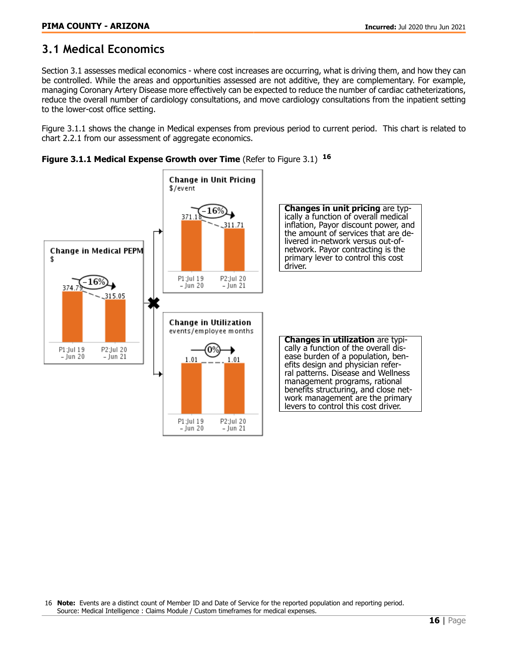# <span id="page-15-0"></span>**3.1 Medical Economics**

Section 3.1 assesses medical economics - where cost increases are occurring, what is driving them, and how they can be controlled. While the areas and opportunities assessed are not additive, they are complementary. For example, managing Coronary Artery Disease more effectively can be expected to reduce the number of cardiac catheterizations, reduce the overall number of cardiology consultations, and move cardiology consultations from the inpatient setting to the lower-cost office setting.

Figure 3.1.1 shows the change in Medical expenses from previous period to current period. This chart is related to chart 2.2.1 from our assessment of aggregate economics.



Figure 3.1.1 Medical Expense Growth over Time (Refer to Figure 3.1) <sup>16</sup>

16 Note: Events are a distinct count of Member ID and Date of Service for the reported population and reporting period. Source: Medical Intelligence : Claims Module / Custom timeframes for medical expenses.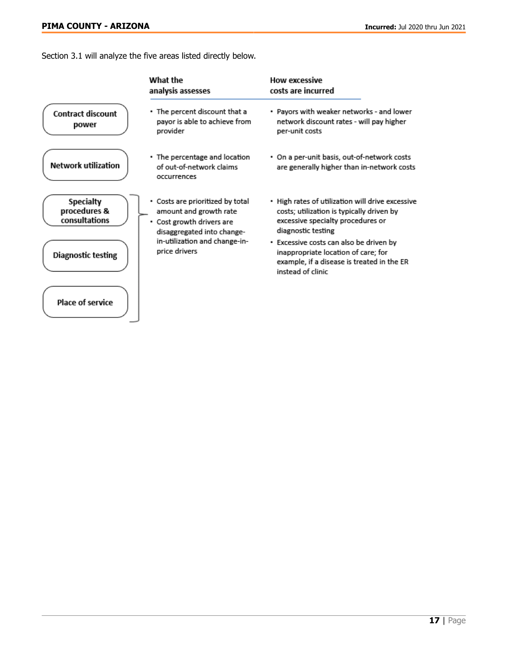Section 3.1 will analyze the five areas listed directly below.

|                                                   | What the<br>analysis assesses                                                                                         | <b>How excessive</b><br>costs are incurred                                                                                                               |
|---------------------------------------------------|-----------------------------------------------------------------------------------------------------------------------|----------------------------------------------------------------------------------------------------------------------------------------------------------|
| <b>Contract discount</b><br>power                 | • The percent discount that a<br>payor is able to achieve from<br>provider                                            | • Payors with weaker networks - and lower<br>network discount rates - will pay higher<br>per-unit costs                                                  |
| <b>Network utilization</b>                        | • The percentage and location<br>of out-of-network claims<br>occurrences                                              | • On a per-unit basis, out-of-network costs<br>are generally higher than in-network costs                                                                |
| <b>Specialty</b><br>procedures &<br>consultations | • Costs are prioritized by total<br>amount and growth rate<br>• Cost growth drivers are<br>disaggregated into change- | • High rates of utilization will drive excessive<br>costs; utilization is typically driven by<br>excessive specialty procedures or<br>diagnostic testing |
| <b>Diagnostic testing</b>                         | in-utilization and change-in-<br>price drivers                                                                        | • Excessive costs can also be driven by<br>inappropriate location of care; for<br>example, if a disease is treated in the ER<br>instead of clinic        |
| <b>Place of service</b>                           |                                                                                                                       |                                                                                                                                                          |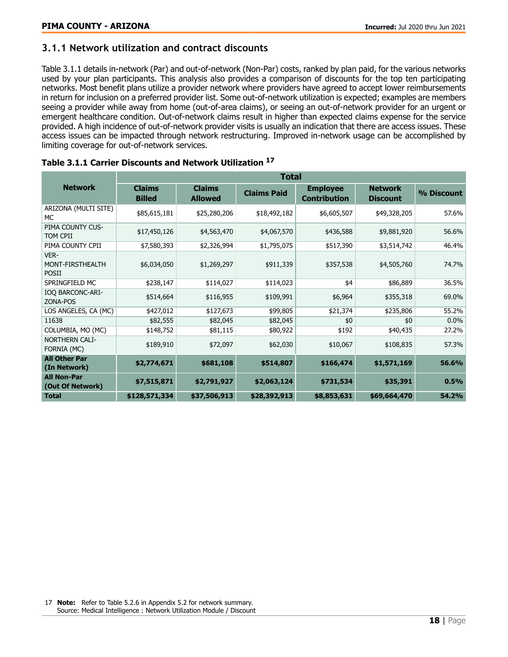## <span id="page-17-0"></span>**3.1.1 Network utilization and contract discounts**

Table 3.1.1 details in-network (Par) and out-of-network (Non-Par) costs, ranked by plan paid, for the various networks used by your plan participants. This analysis also provides a comparison of discounts for the top ten participating networks. Most benefit plans utilize a provider network where providers have agreed to accept lower reimbursements in return for inclusion on a preferred provider list. Some out-of-network utilization is expected; examples are members seeing a provider while away from home (out-of-area claims), or seeing an out-of-network provider for an urgent or emergent healthcare condition. Out-of-network claims result in higher than expected claims expense for the service provided. A high incidence of out-of-network provider visits is usually an indication that there are access issues. These access issues can be impacted through network restructuring. Improved in-network usage can be accomplished by limiting coverage for out-of-network services.

|                                          | <b>Total</b>                   |                                 |                    |                                        |                                   |            |  |  |
|------------------------------------------|--------------------------------|---------------------------------|--------------------|----------------------------------------|-----------------------------------|------------|--|--|
| <b>Network</b>                           | <b>Claims</b><br><b>Billed</b> | <b>Claims</b><br><b>Allowed</b> | <b>Claims Paid</b> | <b>Employee</b><br><b>Contribution</b> | <b>Network</b><br><b>Discount</b> | % Discount |  |  |
| ARIZONA (MULTI SITE)<br>МC               | \$85,615,181                   | \$25,280,206                    | \$18,492,182       | \$6,605,507                            | \$49,328,205                      | 57.6%      |  |  |
| PIMA COUNTY CUS-<br>TOM CPII             | \$17,450,126                   | \$4,563,470                     | \$4,067,570        | \$436,588                              | \$9,881,920                       | 56.6%      |  |  |
| PIMA COUNTY CPII                         | \$7,580,393                    | \$2,326,994                     | \$1,795,075        | \$517,390                              | \$3,514,742                       | 46.4%      |  |  |
| VER-<br>MONT-FIRSTHEALTH<br><b>POSII</b> | \$6,034,050                    | \$1,269,297                     | \$911,339          | \$357,538                              | \$4,505,760                       | 74.7%      |  |  |
| SPRINGFIELD MC                           | \$238,147                      | \$114,027                       | \$114,023          | \$4                                    | \$86,889                          | 36.5%      |  |  |
| <b>IOQ BARCONC-ARI-</b><br>ZONA-POS      | \$514,664                      | \$116,955                       | \$109,991          | \$6,964                                | \$355,318                         | 69.0%      |  |  |
| LOS ANGELES, CA (MC)                     | \$427,012                      | \$127,673                       | \$99,805           | \$21,374                               | \$235,806                         | 55.2%      |  |  |
| 11638                                    | \$82,555                       | \$82,045                        | \$82,045           | \$0                                    | \$0                               | $0.0\%$    |  |  |
| COLUMBIA, MO (MC)                        | \$148,752                      | \$81,115                        | \$80,922           | \$192                                  | \$40,435                          | 27.2%      |  |  |
| NORTHERN CALI-<br>FORNIA (MC)            | \$189,910                      | \$72,097                        | \$62,030           | \$10,067                               | \$108,835                         | 57.3%      |  |  |
| <b>All Other Par</b><br>(In Network)     | \$2,774,671                    | \$681,108                       | \$514,807          | \$166,474                              | \$1,571,169                       | 56.6%      |  |  |
| <b>All Non-Par</b><br>(Out Of Network)   | \$7,515,871                    | \$2,791,927                     | \$2,063,124        | \$731,534                              | \$35,391                          | 0.5%       |  |  |
| Total                                    | \$128,571,334                  | \$37,506,913                    | \$28,392,913       | \$8,853,631                            | \$69,664,470                      | 54.2%      |  |  |

### Table 3.1.1 Carrier Discounts and Network Utilization <sup>17</sup>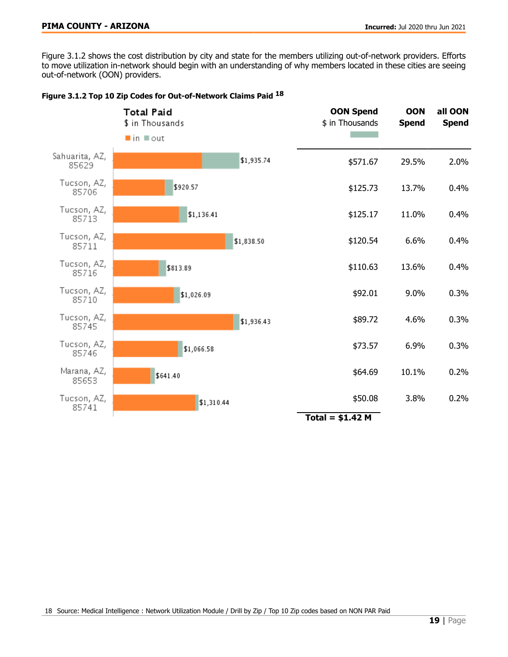Figure 3.1.2 shows the cost distribution by city and state for the members utilizing out-of-network providers. Efforts to move utilization in-network should begin with an understanding of why members located in these cities are seeing out-of-network (OON) providers.

|                         | Total Paid<br>\$ in Thousands<br>$\blacksquare$ in $\blacksquare$ out |            | <b>OON Spend</b><br>\$ in Thousands | <b>OON</b><br><b>Spend</b> | all OON<br><b>Spend</b> |
|-------------------------|-----------------------------------------------------------------------|------------|-------------------------------------|----------------------------|-------------------------|
| Sahuarita, AZ,<br>85629 |                                                                       | \$1,935.74 | \$571.67                            | 29.5%                      | 2.0%                    |
| Tucson, AZ,<br>85706    | \$920.57                                                              |            | \$125.73                            | 13.7%                      | 0.4%                    |
| Tucson, AZ,<br>85713    | \$1,136.41                                                            |            | \$125.17                            | 11.0%                      | 0.4%                    |
| Tucson, AZ,<br>85711    |                                                                       | \$1,838.50 | \$120.54                            | 6.6%                       | 0.4%                    |
| Tucson, AZ,<br>85716    | \$813.89                                                              |            | \$110.63                            | 13.6%                      | 0.4%                    |
| Tucson, AZ,<br>85710    | \$1,026.09                                                            |            | \$92.01                             | 9.0%                       | 0.3%                    |
| Tucson, AZ,<br>85745    |                                                                       | \$1,936.43 | \$89.72                             | 4.6%                       | 0.3%                    |
| Tucson, AZ,<br>85746    | \$1,066.58                                                            |            | \$73.57                             | 6.9%                       | 0.3%                    |
| Marana, AZ,<br>85653    | \$641.40                                                              |            | \$64.69                             | 10.1%                      | 0.2%                    |
| Tucson, AZ,<br>85741    | \$1,310.44                                                            |            | \$50.08<br>Total = $$1.42$ M        | 3.8%                       | 0.2%                    |
|                         |                                                                       |            |                                     |                            |                         |

Figure 3.1.2 Top 10 Zip Codes for Out-of-Network Claims Paid 18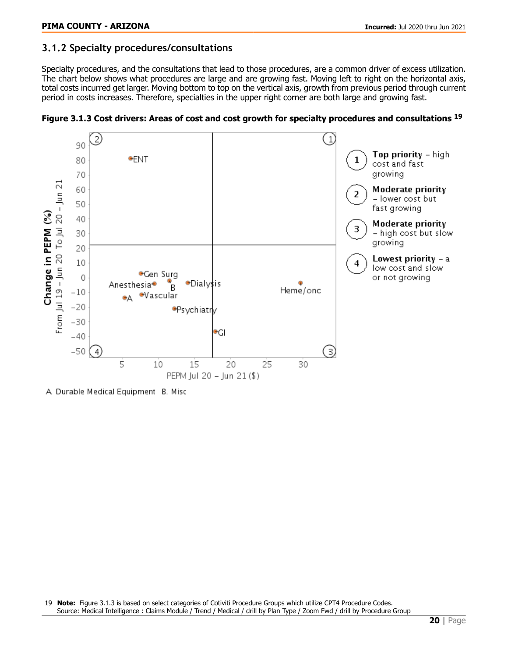### <span id="page-19-0"></span>**3.1.2 Specialty procedures/consultations**

Specialty procedures, and the consultations that lead to those procedures, are a common driver of excess utilization. The chart below shows what procedures are large and are growing fast. Moving left to right on the horizontal axis, total costs incurred get larger. Moving bottom to top on the vertical axis, growth from previous period through current period in costs increases. Therefore, specialties in the upper right corner are both large and growing fast.



Figure 3.1.3 Cost drivers: Areas of cost and cost growth for specialty procedures and consultations <sup>19</sup>

A Durable Medical Equipment B. Misc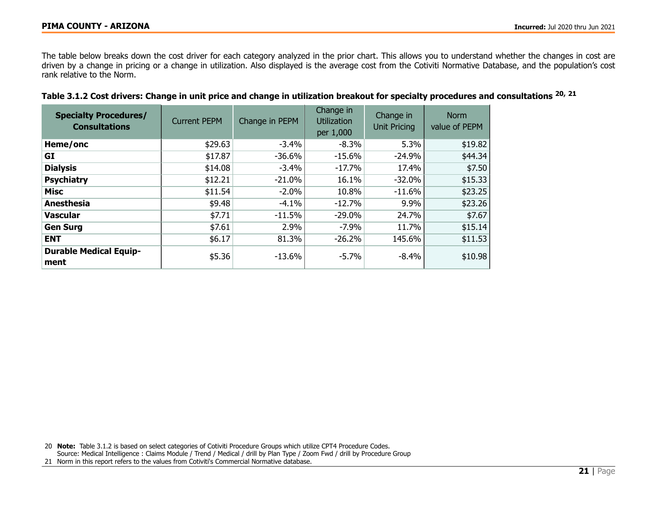The table below breaks down the cost driver for each category analyzed in the prior chart. This allows you to understand whether the changes in cost are driven by a change in pricing or a change in utilization. Also displayed is the average cost from the Cotiviti Normative Database, and the population's cost rank relative to the Norm.

| <b>Specialty Procedures/</b><br><b>Consultations</b> | <b>Current PEPM</b> | Change in PEPM | Change in<br><b>Utilization</b><br>per 1,000 | Change in<br><b>Unit Pricing</b> | <b>Norm</b><br>value of PEPM |
|------------------------------------------------------|---------------------|----------------|----------------------------------------------|----------------------------------|------------------------------|
| Heme/onc                                             | \$29.63             | $-3.4\%$       | $-8.3%$                                      | 5.3%                             | \$19.82                      |
| GI                                                   | \$17.87             | $-36.6%$       | $-15.6%$                                     | $-24.9%$                         | \$44.34                      |
| <b>Dialysis</b>                                      | \$14.08             | $-3.4%$        | $-17.7%$                                     | 17.4%                            | \$7.50                       |
| <b>Psychiatry</b>                                    | \$12.21             | $-21.0%$       | 16.1%                                        | $-32.0\%$                        | \$15.33                      |
| <b>Misc</b>                                          | \$11.54             | $-2.0%$        | 10.8%                                        | $-11.6%$                         | \$23.25                      |
| Anesthesia                                           | \$9.48              | $-4.1%$        | $-12.7%$                                     | 9.9%                             | \$23.26                      |
| <b>Vascular</b>                                      | \$7.71              | $-11.5%$       | $-29.0%$                                     | 24.7%                            | \$7.67                       |
| <b>Gen Surg</b>                                      | \$7.61              | 2.9%           | $-7.9\%$                                     | 11.7%                            | \$15.14                      |
| <b>ENT</b>                                           | \$6.17              | 81.3%          | $-26.2%$                                     | 145.6%                           | \$11.53                      |
| <b>Durable Medical Equip-</b><br>ment                | \$5.36              | $-13.6%$       | $-5.7%$                                      | $-8.4%$                          | \$10.98                      |

|  |  |  |  | Table 3.1.2 Cost drivers: Change in unit price and change in utilization breakout for specialty procedures and consultations <sup>20, 21</sup> |
|--|--|--|--|------------------------------------------------------------------------------------------------------------------------------------------------|
|--|--|--|--|------------------------------------------------------------------------------------------------------------------------------------------------|

20 Note: Table 3.1.2 is based on select categories of Cotiviti Procedure Groups which utilize CPT4 Procedure Codes. Source: Medical Intelligence : Claims Module / Trend / Medical / drill by Plan Type / Zoom Fwd / drill by Procedure Group 21 Norm in this report refers to the values from Cotiviti's Commercial Normative database.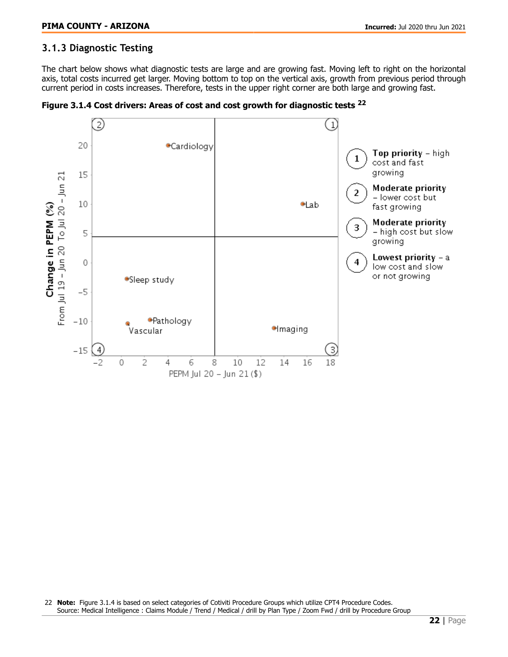# <span id="page-21-0"></span>**3.1.3 Diagnostic Testing**

The chart below shows what diagnostic tests are large and are growing fast. Moving left to right on the horizontal axis, total costs incurred get larger. Moving bottom to top on the vertical axis, growth from previous period through current period in costs increases. Therefore, tests in the upper right corner are both large and growing fast.



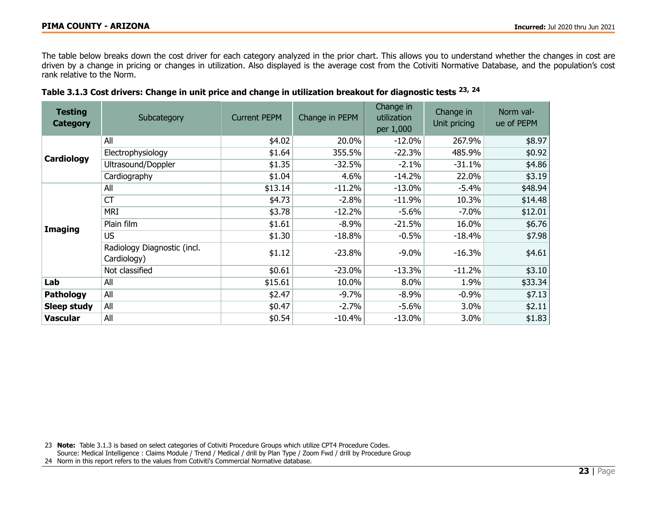The table below breaks down the cost driver for each category analyzed in the prior chart. This allows you to understand whether the changes in cost are driven by a change in pricing or changes in utilization. Also displayed is the average cost from the Cotiviti Normative Database, and the population's cost rank relative to the Norm.

| <b>Testing</b><br><b>Category</b> | Subcategory                                | <b>Current PEPM</b> | Change in PEPM | Change in<br>utilization<br>per 1,000 | Change in<br>Unit pricing | Norm val-<br>ue of PEPM |
|-----------------------------------|--------------------------------------------|---------------------|----------------|---------------------------------------|---------------------------|-------------------------|
|                                   | All                                        | \$4.02              | 20.0%          | $-12.0%$                              | 267.9%                    | \$8.97                  |
| Cardiology                        | Electrophysiology                          | \$1.64              | 355.5%         | $-22.3%$                              | 485.9%                    | \$0.92                  |
|                                   | Ultrasound/Doppler                         | \$1.35              | $-32.5%$       | $-2.1%$                               | $-31.1%$                  | \$4.86                  |
|                                   | Cardiography                               | \$1.04              | 4.6%           | $-14.2%$                              | 22.0%                     | \$3.19                  |
|                                   | All                                        | \$13.14             | $-11.2%$       | $-13.0%$                              | $-5.4%$                   | \$48.94                 |
|                                   | <b>CT</b>                                  | \$4.73              | $-2.8%$        | $-11.9%$                              | 10.3%                     | \$14.48                 |
| <b>Imaging</b>                    | <b>MRI</b>                                 | \$3.78              | $-12.2%$       | $-5.6%$                               | $-7.0\%$                  | \$12.01                 |
|                                   | Plain film                                 | \$1.61              | $-8.9%$        | $-21.5%$                              | 16.0%                     | \$6.76                  |
|                                   | <b>US</b>                                  | \$1.30              | $-18.8%$       | $-0.5%$                               | $-18.4%$                  | \$7.98                  |
|                                   | Radiology Diagnostic (incl.<br>Cardiology) | \$1.12              | $-23.8%$       | $-9.0\%$                              | $-16.3%$                  | \$4.61                  |
|                                   | Not classified                             | \$0.61              | $-23.0%$       | $-13.3%$                              | $-11.2%$                  | \$3.10                  |
| Lab                               | All                                        | \$15.61             | 10.0%          | 8.0%                                  | 1.9%                      | \$33.34                 |
| <b>Pathology</b>                  | All                                        | \$2.47              | $-9.7%$        | $-8.9%$                               | $-0.9%$                   | \$7.13                  |
| <b>Sleep study</b>                | All                                        | \$0.47              | $-2.7%$        | $-5.6%$                               | 3.0%                      | \$2.11                  |
| <b>Vascular</b>                   | All                                        | \$0.54              | $-10.4%$       | $-13.0\%$                             | $3.0\%$                   | \$1.83                  |

| Table 3.1.3 Cost drivers: Change in unit price and change in utilization breakout for diagnostic tests <sup>23, 24</sup> |  |  |  |  |  |  |  |  |
|--------------------------------------------------------------------------------------------------------------------------|--|--|--|--|--|--|--|--|
|--------------------------------------------------------------------------------------------------------------------------|--|--|--|--|--|--|--|--|

23 Note: Table 3.1.3 is based on select categories of Cotiviti Procedure Groups which utilize CPT4 Procedure Codes.

Source: Medical Intelligence : Claims Module / Trend / Medical / drill by Plan Type / Zoom Fwd / drill by Procedure Group

24 Norm in this report refers to the values from Cotiviti's Commercial Normative database.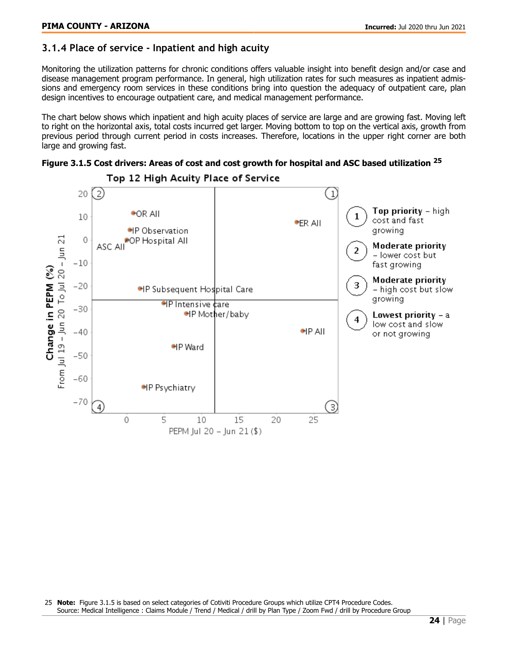### <span id="page-23-0"></span>**3.1.4 Place of service - Inpatient and high acuity**

Monitoring the utilization patterns for chronic conditions offers valuable insight into benefit design and/or case and disease management program performance. In general, high utilization rates for such measures as inpatient admissions and emergency room services in these conditions bring into question the adequacy of outpatient care, plan design incentives to encourage outpatient care, and medical management performance.

The chart below shows which inpatient and high acuity places of service are large and are growing fast. Moving left to right on the horizontal axis, total costs incurred get larger. Moving bottom to top on the vertical axis, growth from previous period through current period in costs increases. Therefore, locations in the upper right corner are both large and growing fast.

Figure 3.1.5 Cost drivers: Areas of cost and cost growth for hospital and ASC based utilization <sup>25</sup>



Top 12 High Acuity Place of Service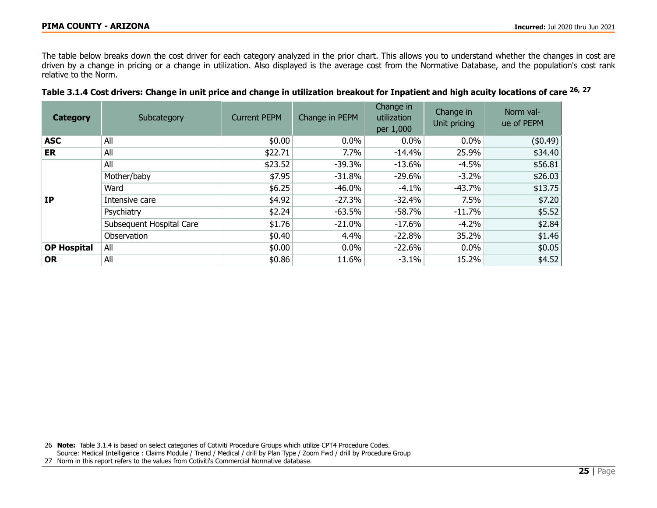The table below breaks down the cost driver for each category analyzed in the prior chart. This allows you to understand whether the changes in cost are driven by a change in pricing or a change in utilization. Also displayed is the average cost from the Normative Database, and the population's cost rank relative to the Norm.

|  | Table 3.1.4 Cost drivers: Change in unit price and change in utilization breakout for Inpatient and high acuity locations of care <sup>26, 27</sup> |  |
|--|-----------------------------------------------------------------------------------------------------------------------------------------------------|--|
|  |                                                                                                                                                     |  |

| <b>Category</b>    | Subcategory              | <b>Current PEPM</b> | Change in PEPM | Change in<br>utilization<br>per 1,000 | Change in<br>Unit pricing | Norm val-<br>ue of PEPM |
|--------------------|--------------------------|---------------------|----------------|---------------------------------------|---------------------------|-------------------------|
| <b>ASC</b>         | All                      | \$0.00              | $0.0\%$        | $0.0\%$                               | $0.0\%$                   | $($ \$0.49) $ $         |
| <b>ER</b>          | All                      | \$22.71             | 7.7%           | $-14.4%$                              | 25.9%                     | \$34.40                 |
|                    | All                      | \$23.52             | $-39.3%$       | $-13.6%$                              | $-4.5%$                   | \$56.81                 |
|                    | Mother/baby              | \$7.95              | $-31.8%$       | $-29.6%$                              | $-3.2\%$                  | \$26.03                 |
|                    | Ward                     | \$6.25              | $-46.0%$       | $-4.1%$                               | $-43.7%$                  | \$13.75                 |
| <b>IP</b>          | Intensive care           | \$4.92              | $-27.3%$       | $-32.4%$                              | 7.5%                      | \$7.20                  |
|                    | Psychiatry               | \$2.24              | $-63.5%$       | $-58.7%$                              | $-11.7%$                  | \$5.52                  |
|                    | Subsequent Hospital Care | \$1.76              | $-21.0%$       | $-17.6%$                              | $-4.2%$                   | \$2.84                  |
|                    | Observation              | \$0.40              | 4.4%           | $-22.8%$                              | 35.2%                     | \$1.46                  |
| <b>OP Hospital</b> | All                      | \$0.00              | $0.0\%$        | $-22.6%$                              | $0.0\%$                   | \$0.05                  |
| <b>OR</b>          | All                      | \$0.86              | 11.6%          | $-3.1\%$                              | 15.2%                     | \$4.52                  |

26 Note: Table 3.1.4 is based on select categories of Cotiviti Procedure Groups which utilize CPT4 Procedure Codes.

Source: Medical Intelligence : Claims Module / Trend / Medical / drill by Plan Type / Zoom Fwd / drill by Procedure Group

27 Norm in this report refers to the values from Cotiviti's Commercial Normative database.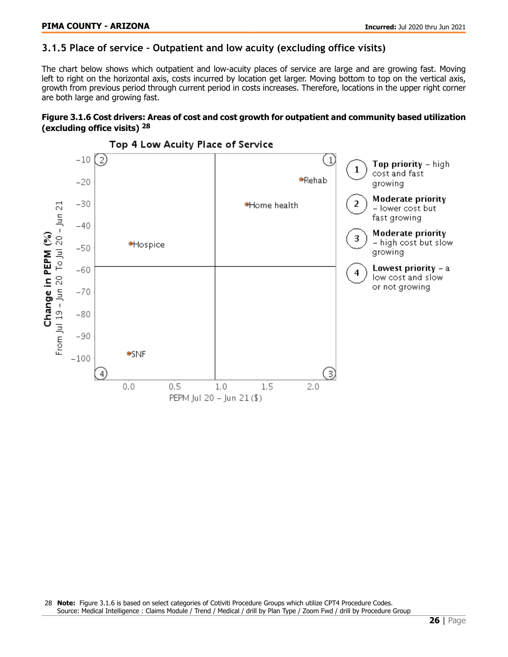### <span id="page-25-0"></span>**3.1.5 Place of service – Outpatient and low acuity (excluding office visits)**

The chart below shows which outpatient and low-acuity places of service are large and are growing fast. Moving left to right on the horizontal axis, costs incurred by location get larger. Moving bottom to top on the vertical axis, growth from previous period through current period in costs increases. Therefore, locations in the upper right corner are both large and growing fast.

#### Figure 3.1.6 Cost drivers: Areas of cost and cost growth for outpatient and community based utilization (excluding office visits) <sup>28</sup>



Top 4 Low Acuity Place of Service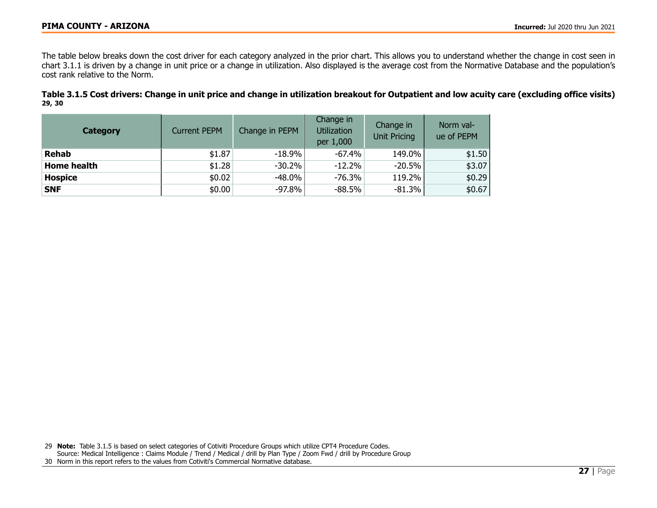The table below breaks down the cost driver for each category analyzed in the prior chart. This allows you to understand whether the change in cost seen in chart 3.1.1 is driven by a change in unit price or a change in utilization. Also displayed is the average cost from the Normative Database and the population's cost rank relative to the Norm.

Table 3.1.5 Cost drivers: Change in unit price and change in utilization breakout for Outpatient and low acuity care (excluding office visits) 29, 30

| <b>Category</b>    | <b>Current PEPM</b> | Change in PEPM | Change in<br><b>Utilization</b><br>per 1,000 | Change in<br><b>Unit Pricing</b> | Norm val-<br>ue of PEPM |
|--------------------|---------------------|----------------|----------------------------------------------|----------------------------------|-------------------------|
| <b>Rehab</b>       | \$1.87              | $-18.9\%$      | -67.4%                                       | 149.0%                           | \$1.50                  |
| <b>Home health</b> | \$1.28              | $-30.2\%$      | $-12.2%$                                     | $-20.5%$                         | \$3.07                  |
| <b>Hospice</b>     | \$0.02              | $-48.0\%$      | $-76.3%$                                     | 119.2%                           | \$0.29                  |
| <b>SNF</b>         | \$0.00              | $-97.8\%$      | $-88.5%$                                     | $-81.3%$                         | \$0.67                  |

29 Note: Table 3.1.5 is based on select categories of Cotiviti Procedure Groups which utilize CPT4 Procedure Codes. Source: Medical Intelligence : Claims Module / Trend / Medical / drill by Plan Type / Zoom Fwd / drill by Procedure Group 30 Norm in this report refers to the values from Cotiviti's Commercial Normative database.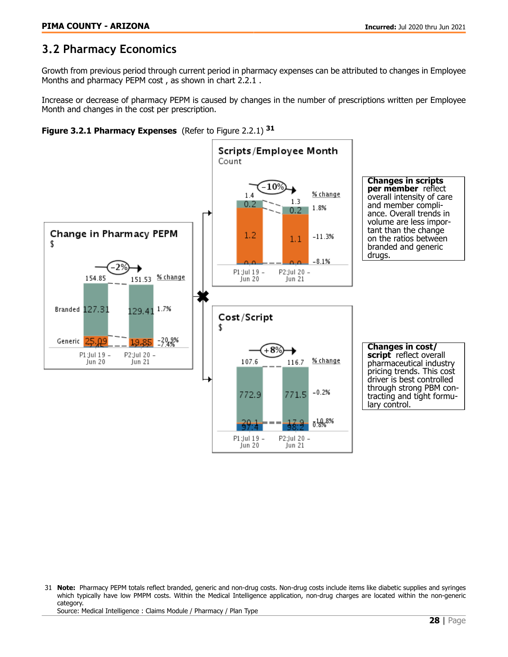# <span id="page-27-0"></span>**3.2 Pharmacy Economics**

Growth from previous period through current period in pharmacy expenses can be attributed to changes in Employee Months and pharmacy PEPM cost , as shown in chart 2.2.1 .

Increase or decrease of pharmacy PEPM is caused by changes in the number of prescriptions written per Employee Month and changes in the cost per prescription.





<sup>31</sup> Note: Pharmacy PEPM totals reflect branded, generic and non-drug costs. Non-drug costs include items like diabetic supplies and syringes which typically have low PMPM costs. Within the Medical Intelligence application, non-drug charges are located within the non-generic category.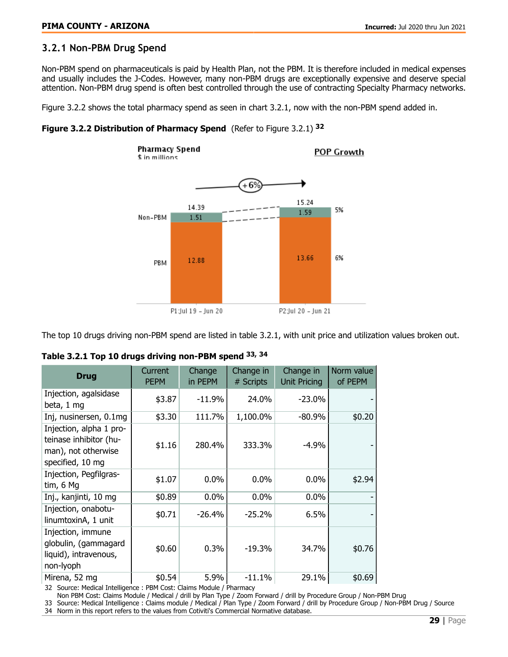### <span id="page-28-0"></span>**3.2.1 Non-PBM Drug Spend**

Non-PBM spend on pharmaceuticals is paid by Health Plan, not the PBM. It is therefore included in medical expenses and usually includes the J-Codes. However, many non-PBM drugs are exceptionally expensive and deserve special attention. Non-PBM drug spend is often best controlled through the use of contracting Specialty Pharmacy networks.

Figure 3.2.2 shows the total pharmacy spend as seen in chart 3.2.1, now with the non-PBM spend added in.





The top 10 drugs driving non-PBM spend are listed in table 3.2.1, with unit price and utilization values broken out.

| <b>Drug</b>                                                                                  | Current<br><b>PEPM</b> | Change<br>in PEPM | Change in<br># Scripts | Change in<br><b>Unit Pricing</b> | Norm value<br>of PEPM |
|----------------------------------------------------------------------------------------------|------------------------|-------------------|------------------------|----------------------------------|-----------------------|
| Injection, agalsidase<br>beta, 1 mg                                                          | \$3.87                 | $-11.9%$          | 24.0%                  | $-23.0%$                         |                       |
| Inj, nusinersen, 0.1mg                                                                       | \$3.30                 | 111.7%            | 1,100.0%               | $-80.9%$                         | \$0.20                |
| Injection, alpha 1 pro-<br>teinase inhibitor (hu-<br>man), not otherwise<br>specified, 10 mg | \$1.16                 | 280.4%            | 333.3%                 | $-4.9%$                          |                       |
| Injection, Pegfilgras-<br>tim, 6 Mg                                                          | \$1.07                 | 0.0%              | 0.0%                   | 0.0%                             | \$2.94                |
| Inj., kanjinti, 10 mg                                                                        | \$0.89                 | 0.0%              | 0.0%                   | 0.0%                             |                       |
| Injection, onabotu-<br>linumtoxinA, 1 unit                                                   | \$0.71                 | $-26.4%$          | $-25.2%$               | 6.5%                             |                       |
| Injection, immune<br>globulin, (gammagard<br>liquid), intravenous,<br>non-lyoph              | \$0.60                 | 0.3%              | -19.3%                 | 34.7%                            | \$0.76                |
| Mirena, 52 mg                                                                                | \$0.54                 | 5.9%              | $-11.1\%$              | 29.1%                            | \$0.69                |

| Table 3.2.1 Top 10 drugs driving non-PBM spend 33, 34 |  |  |  |  |  |
|-------------------------------------------------------|--|--|--|--|--|
|-------------------------------------------------------|--|--|--|--|--|

32 Source: Medical Intelligence : PBM Cost: Claims Module / Pharmacy

Non PBM Cost: Claims Module / Medical / drill by Plan Type / Zoom Forward / drill by Procedure Group / Non-PBM Drug

33 Source: Medical Intelligence : Claims module / Medical / Plan Type / Zoom Forward / drill by Procedure Group / Non-PBM Drug / Source

34 Norm in this report refers to the values from Cotiviti's Commercial Normative database.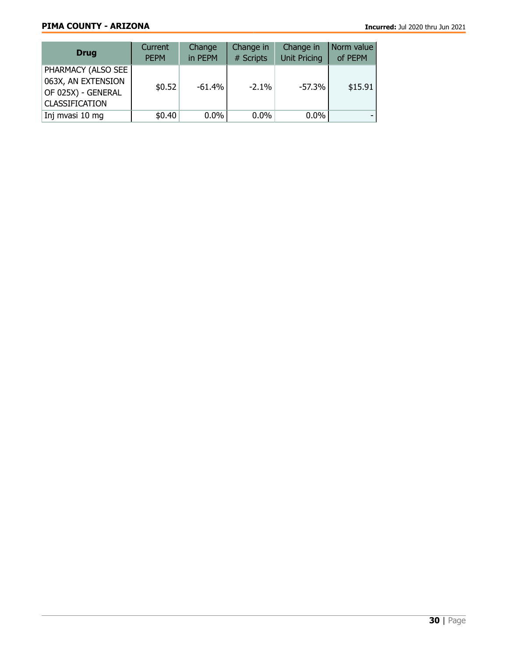### PIMA COUNTY - ARIZONA **Incurred:** Jul 2020 thru Jun 2021

| <b>Drug</b>                                                                              | Current<br><b>PEPM</b> | Change<br>in PEPM | Change in<br># Scripts | Change in<br><b>Unit Pricing</b> | Norm value<br>of PEPM |
|------------------------------------------------------------------------------------------|------------------------|-------------------|------------------------|----------------------------------|-----------------------|
| PHARMACY (ALSO SEE)<br>063X, AN EXTENSION<br>OF 025X) - GENERAL<br><b>CLASSIFICATION</b> | \$0.52                 | $-61.4%$          | $-2.1\%$               | $-57.3%$                         | \$15.91               |
| Inj mvasi 10 mg                                                                          | \$0.40                 | $0.0\%$           | $0.0\%$                | $0.0\%$                          |                       |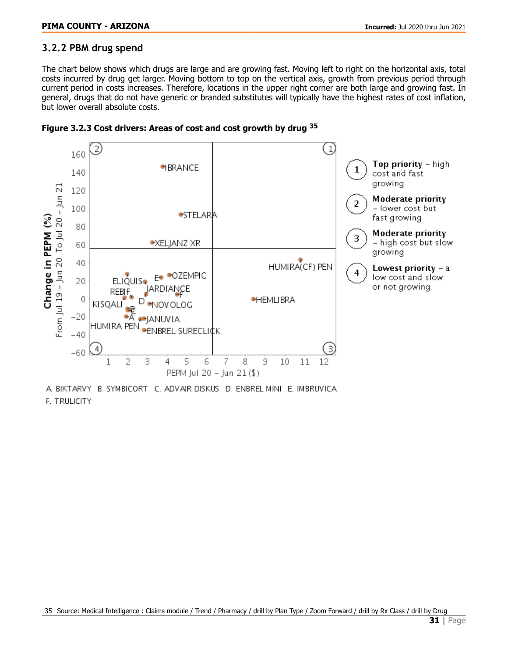### <span id="page-30-0"></span>**3.2.2 PBM drug spend**

The chart below shows which drugs are large and are growing fast. Moving left to right on the horizontal axis, total costs incurred by drug get larger. Moving bottom to top on the vertical axis, growth from previous period through current period in costs increases. Therefore, locations in the upper right corner are both large and growing fast. In general, drugs that do not have generic or branded substitutes will typically have the highest rates of cost inflation, but lower overall absolute costs.





A BIKTARVY B. SYMBICORT C. ADVAIR DISKUS D. ENBREL MINI E. IMBRUVICA F. TRULICITY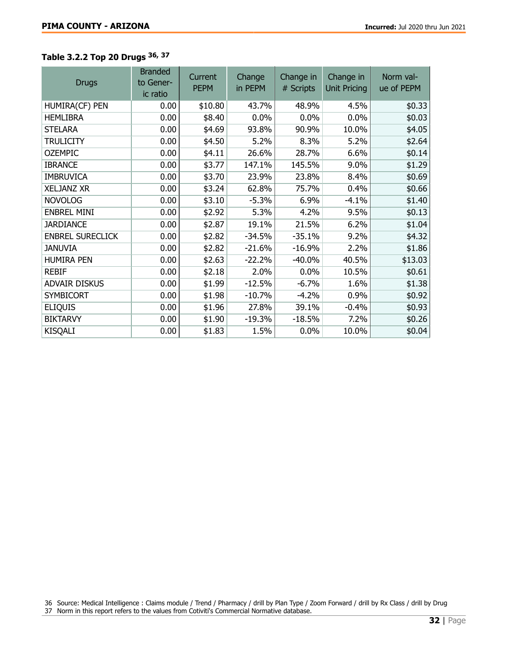# Table 3.2.2 Top 20 Drugs 36, <sup>37</sup>

| <b>Drugs</b>            | <b>Branded</b><br>to Gener-<br>ic ratio | Current<br><b>PEPM</b> | Change<br>in PEPM | Change in<br># Scripts | Change in<br><b>Unit Pricing</b> | Norm val-<br>ue of PEPM |
|-------------------------|-----------------------------------------|------------------------|-------------------|------------------------|----------------------------------|-------------------------|
| HUMIRA(CF) PEN          | 0.00                                    | \$10.80                | 43.7%             | 48.9%                  | 4.5%                             | \$0.33                  |
| <b>HEMLIBRA</b>         | 0.00                                    | \$8.40                 | 0.0%              | 0.0%                   | 0.0%                             | \$0.03                  |
| <b>STELARA</b>          | 0.00                                    | \$4.69                 | 93.8%             | 90.9%                  | 10.0%                            | \$4.05                  |
| <b>TRULICITY</b>        | 0.00                                    | \$4.50                 | 5.2%              | 8.3%                   | 5.2%                             | \$2.64                  |
| <b>OZEMPIC</b>          | 0.00                                    | \$4.11                 | 26.6%             | 28.7%                  | 6.6%                             | \$0.14                  |
| <b>IBRANCE</b>          | 0.00                                    | \$3.77                 | 147.1%            | 145.5%                 | 9.0%                             | \$1.29                  |
| <b>IMBRUVICA</b>        | 0.00                                    | \$3.70                 | 23.9%             | 23.8%                  | 8.4%                             | \$0.69                  |
| <b>XELJANZ XR</b>       | 0.00                                    | \$3.24                 | 62.8%             | 75.7%                  | 0.4%                             | \$0.66                  |
| <b>NOVOLOG</b>          | 0.00                                    | \$3.10                 | $-5.3%$           | 6.9%                   | $-4.1%$                          | \$1.40                  |
| <b>ENBREL MINI</b>      | 0.00                                    | \$2.92                 | 5.3%              | 4.2%                   | 9.5%                             | \$0.13                  |
| <b>JARDIANCE</b>        | 0.00                                    | \$2.87                 | 19.1%             | 21.5%                  | 6.2%                             | \$1.04                  |
| <b>ENBREL SURECLICK</b> | 0.00                                    | \$2.82                 | $-34.5%$          | $-35.1%$               | 9.2%                             | \$4.32                  |
| <b>JANUVIA</b>          | 0.00                                    | \$2.82                 | $-21.6%$          | $-16.9%$               | 2.2%                             | \$1.86                  |
| <b>HUMIRA PEN</b>       | 0.00                                    | \$2.63                 | $-22.2%$          | $-40.0%$               | 40.5%                            | \$13.03                 |
| <b>REBIF</b>            | 0.00                                    | \$2.18                 | 2.0%              | 0.0%                   | 10.5%                            | \$0.61                  |
| <b>ADVAIR DISKUS</b>    | 0.00                                    | \$1.99                 | $-12.5%$          | $-6.7%$                | 1.6%                             | \$1.38                  |
| <b>SYMBICORT</b>        | 0.00                                    | \$1.98                 | $-10.7%$          | $-4.2%$                | 0.9%                             | \$0.92                  |
| <b>ELIQUIS</b>          | 0.00                                    | \$1.96                 | 27.8%             | 39.1%                  | $-0.4%$                          | \$0.93                  |
| <b>BIKTARVY</b>         | 0.00                                    | \$1.90                 | $-19.3%$          | $-18.5%$               | 7.2%                             | \$0.26                  |
| <b>KISQALI</b>          | 0.00                                    | \$1.83                 | 1.5%              | 0.0%                   | 10.0%                            | \$0.04                  |

36 Source: Medical Intelligence : Claims module / Trend / Pharmacy / drill by Plan Type / Zoom Forward / drill by Rx Class / drill by Drug

37 Norm in this report refers to the values from Cotiviti's Commercial Normative database.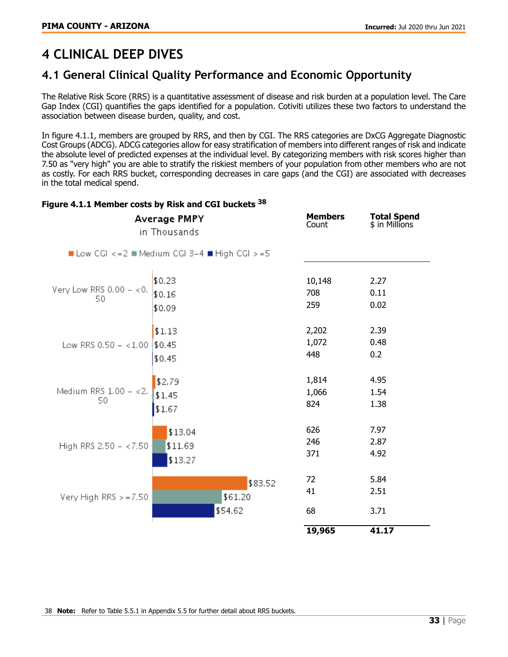# <span id="page-32-0"></span>**4 CLINICAL DEEP DIVES**

# <span id="page-32-1"></span>**4.1 General Clinical Quality Performance and Economic Opportunity**

The Relative Risk Score (RRS) is a quantitative assessment of disease and risk burden at a population level. The Care Gap Index (CGI) quantifies the gaps identified for a population. Cotiviti utilizes these two factors to understand the association between disease burden, quality, and cost.

In figure 4.1.1, members are grouped by RRS, and then by CGI. The RRS categories are DxCG Aggregate Diagnostic Cost Groups (ADCG). ADCG categories allow for easy stratification of members into different ranges of risk and indicate the absolute level of predicted expenses at the individual level. By categorizing members with risk scores higher than 7.50 as "very high" you are able to stratify the riskiest members of your population from other members who are not as costly. For each RRS bucket, corresponding decreases in care gaps (and the CGI) are associated with decreases in the total medical spend.

| Average PMPY<br>in Thousands    | <b>Members</b><br>Count                  | <b>Total Spend</b><br>\$ in Millions |                      |
|---------------------------------|------------------------------------------|--------------------------------------|----------------------|
|                                 | Low CGI <= 2 Medium CGI 3-4 High CGI >=5 |                                      |                      |
| Very Low RRS $0.00 - 0.0$<br>50 | \$0.23<br>\$0.16<br>\$0.09               | 10,148<br>708<br>259                 | 2.27<br>0.11<br>0.02 |
| Low RRS $0.50 - < 1.00$         | \$1.13<br>\$0.45<br>\$0.45               | 2,202<br>1,072<br>448                | 2.39<br>0.48<br>0.2  |
| Medium RRS 1.00 - <2.<br>50     | \$2.79<br>\$1.45<br>\$1.67               | 1,814<br>1,066<br>824                | 4.95<br>1.54<br>1.38 |
| High RRS 2.50 - <7.50           | \$13.04<br>\$11.69<br>\$13.27            | 626<br>246<br>371                    | 7.97<br>2.87<br>4.92 |
| Very High RRS $> = 7.50$        | \$83.52<br>\$61.20<br>\$54.62            | 72<br>41<br>68                       | 5.84<br>2.51<br>3.71 |
|                                 |                                          | 19,965                               | 41.17                |

#### Figure 4.1.1 Member costs by Risk and CGI buckets <sup>38</sup>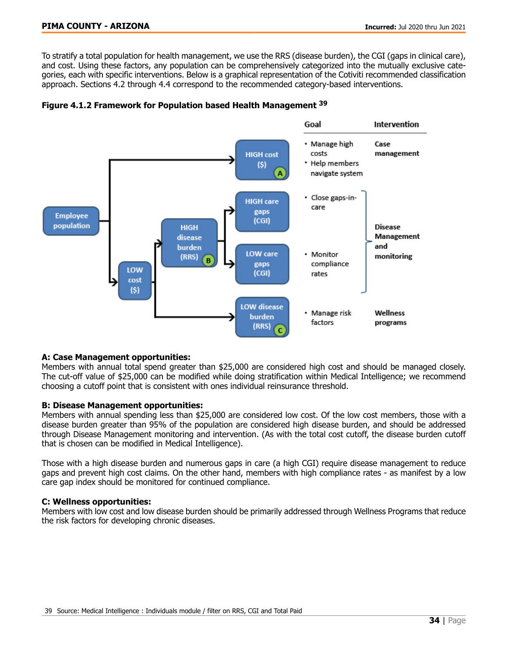To stratify a total population for health management, we use the RRS (disease burden), the CGI (gaps in clinical care), and cost. Using these factors, any population can be comprehensively categorized into the mutually exclusive categories, each with specific interventions. Below is a graphical representation of the Cotiviti recommended classification approach. Sections 4.2 through 4.4 correspond to the recommended category-based interventions.





#### A: Case Management opportunities:

Members with annual total spend greater than \$25,000 are considered high cost and should be managed closely. The cut-off value of \$25,000 can be modified while doing stratification within Medical Intelligence; we recommend choosing a cutoff point that is consistent with ones individual reinsurance threshold.

#### B: Disease Management opportunities:

Members with annual spending less than \$25,000 are considered low cost. Of the low cost members, those with a disease burden greater than 95% of the population are considered high disease burden, and should be addressed through Disease Management monitoring and intervention. (As with the total cost cutoff, the disease burden cutoff that is chosen can be modified in Medical Intelligence).

Those with a high disease burden and numerous gaps in care (a high CGI) require disease management to reduce gaps and prevent high cost claims. On the other hand, members with high compliance rates - as manifest by a low care gap index should be monitored for continued compliance.

#### C: Wellness opportunities:

Members with low cost and low disease burden should be primarily addressed through Wellness Programs that reduce the risk factors for developing chronic diseases.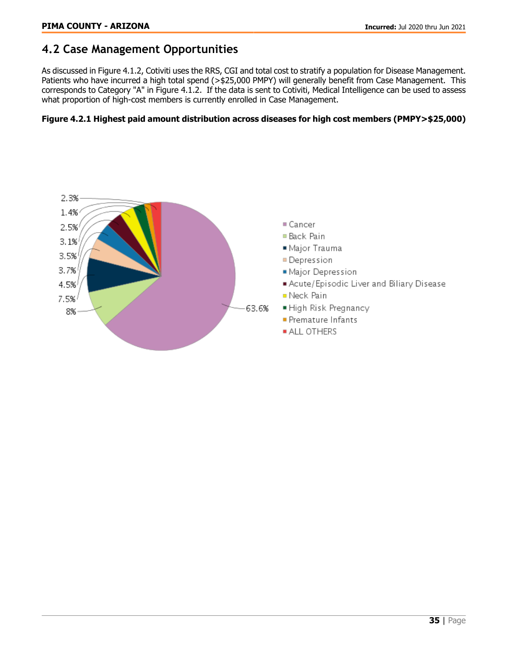# <span id="page-34-0"></span>**4.2 Case Management Opportunities**

As discussed in Figure 4.1.2, Cotiviti uses the RRS, CGI and total cost to stratify a population for Disease Management. Patients who have incurred a high total spend (>\$25,000 PMPY) will generally benefit from Case Management. This corresponds to Category "A" in Figure 4.1.2. If the data is sent to Cotiviti, Medical Intelligence can be used to assess what proportion of high-cost members is currently enrolled in Case Management.

### Figure 4.2.1 Highest paid amount distribution across diseases for high cost members (PMPY>\$25,000)

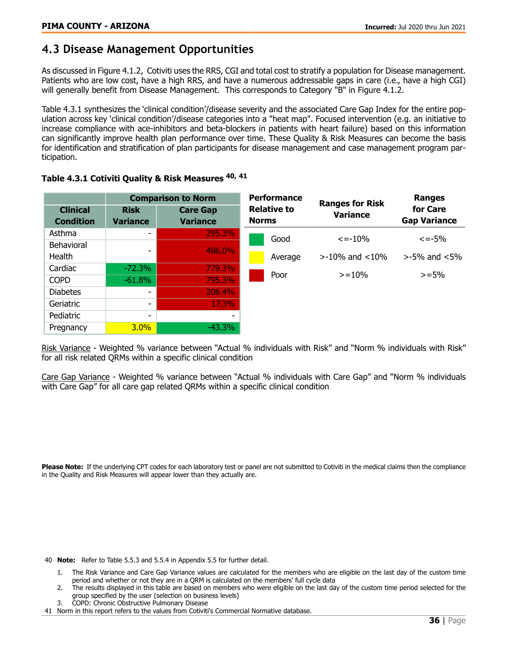# <span id="page-35-0"></span>**4.3 Disease Management Opportunities**

As discussed in Figure 4.1.2, Cotiviti uses the RRS, CGI and total cost to stratify a population for Disease management. Patients who are low cost, have a high RRS, and have a numerous addressable gaps in care (i.e., have a high CGI) will generally benefit from Disease Management. This corresponds to Category "B" in Figure 4.1.2.

Table 4.3.1 synthesizes the 'clinical condition'/disease severity and the associated Care Gap Index for the entire population across key 'clinical condition'/disease categories into a "heat map". Focused intervention (e.g. an initiative to increase compliance with ace-inhibitors and beta-blockers in patients with heart failure) based on this information can significantly improve health plan performance over time. These Quality & Risk Measures can become the basis for identification and stratification of plan participants for disease management and case management program participation.

|                                     |                          | <b>Comparison to Norm</b>          | <b>Performance</b>                 | <b>Ranges for Risk</b> | <b>Ranges</b><br>for Care<br><b>Gap Variance</b> |  |
|-------------------------------------|--------------------------|------------------------------------|------------------------------------|------------------------|--------------------------------------------------|--|
| <b>Clinical</b><br><b>Condition</b> | <b>Risk</b><br>Variance  | <b>Care Gap</b><br><b>Variance</b> | <b>Relative to</b><br><b>Norms</b> | <b>Variance</b>        |                                                  |  |
| Asthma                              |                          | 295.3%                             | Good                               | $\epsilon = -10\%$     | $\epsilon = -5\%$                                |  |
| Behavioral                          |                          | <b>486.0%</b>                      |                                    |                        |                                                  |  |
| Health                              |                          |                                    | Average                            | $>$ -10% and $<$ 10%   | $>$ -5% and $<$ 5%                               |  |
| Cardiac                             | $-72.3%$                 | 779.3%                             | Poor                               | $>=10%$                | $>=$ 5%                                          |  |
| <b>COPD</b>                         | $-61.8%$                 | 795.3%                             |                                    |                        |                                                  |  |
| <b>Diabetes</b>                     | $\overline{\phantom{0}}$ | 206.4%                             |                                    |                        |                                                  |  |
| Geriatric                           |                          | 17.3%                              |                                    |                        |                                                  |  |
| Pediatric                           | ٠                        |                                    |                                    |                        |                                                  |  |
| Pregnancy                           | $3.0\%$                  | $-43.3\%$                          |                                    |                        |                                                  |  |

#### Table 4.3.1 Cotiviti Quality & Risk Measures <sup>40, 41</sup>

Risk Variance - Weighted % variance between "Actual % individuals with Risk" and "Norm % individuals with Risk" for all risk related QRMs within a specific clinical condition

Care Gap Variance - Weighted % variance between "Actual % individuals with Care Gap" and "Norm % individuals with Care Gap" for all care gap related QRMs within a specific clinical condition

Please Note: If the underlying CPT codes for each laboratory test or panel are not submitted to Cotiviti in the medical claims then the compliance in the Quality and Risk Measures will appear lower than they actually are.

40 Note: Refer to Table 5.5.3 and 5.5.4 in Appendix 5.5 for further detail.

- 1. The Risk Variance and Care Gap Variance values are calculated for the members who are eligible on the last day of the custom time period and whether or not they are in a QRM is calculated on the members' full cycle data
- 2. The results displayed in this table are based on members who were eligible on the last day of the custom time period selected for the group specified by the user (selection on business levels)
- 3. COPD: Chronic Obstructive Pulmonary Disease
- 41 Norm in this report refers to the values from Cotiviti's Commercial Normative database.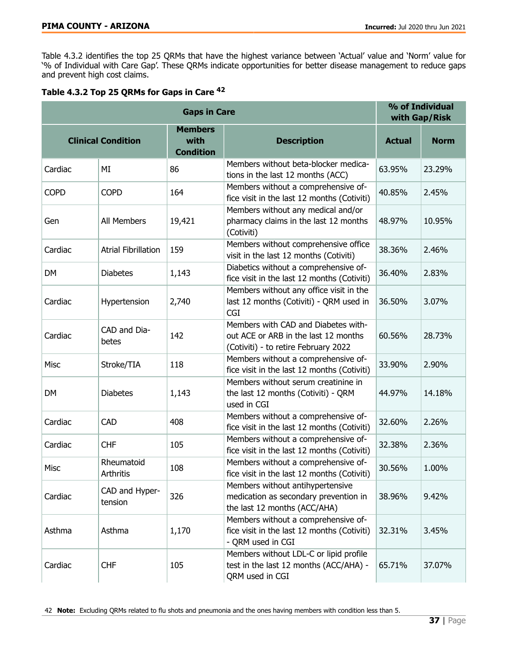Table 4.3.2 identifies the top 25 QRMs that have the highest variance between 'Actual' value and 'Norm' value for '% of Individual with Care Gap'. These QRMs indicate opportunities for better disease management to reduce gaps and prevent high cost claims.

| Table 4.3.2 Top 25 QRMs for Gaps in Care <sup>42</sup> |
|--------------------------------------------------------|
|--------------------------------------------------------|

| <b>Gaps in Care</b>       |                            |                                            |                                                                                                                     |               | % of Individual<br>with Gap/Risk |  |
|---------------------------|----------------------------|--------------------------------------------|---------------------------------------------------------------------------------------------------------------------|---------------|----------------------------------|--|
| <b>Clinical Condition</b> |                            | <b>Members</b><br>with<br><b>Condition</b> | <b>Description</b>                                                                                                  | <b>Actual</b> | <b>Norm</b>                      |  |
| Cardiac                   | MI                         | 86                                         | Members without beta-blocker medica-<br>tions in the last 12 months (ACC)                                           | 63.95%        | 23.29%                           |  |
| <b>COPD</b>               | <b>COPD</b>                | 164                                        | Members without a comprehensive of-<br>fice visit in the last 12 months (Cotiviti)                                  | 40.85%        | 2.45%                            |  |
| Gen                       | All Members                | 19,421                                     | Members without any medical and/or<br>pharmacy claims in the last 12 months<br>(Cotiviti)                           | 48.97%        | 10.95%                           |  |
| Cardiac                   | <b>Atrial Fibrillation</b> | 159                                        | Members without comprehensive office<br>visit in the last 12 months (Cotiviti)                                      | 38.36%        | 2.46%                            |  |
| <b>DM</b>                 | <b>Diabetes</b>            | 1,143                                      | Diabetics without a comprehensive of-<br>fice visit in the last 12 months (Cotiviti)                                | 36.40%        | 2.83%                            |  |
| Cardiac                   | Hypertension               | 2,740                                      | Members without any office visit in the<br>last 12 months (Cotiviti) - QRM used in<br><b>CGI</b>                    | 36.50%        | 3.07%                            |  |
| Cardiac                   | CAD and Dia-<br>betes      | 142                                        | Members with CAD and Diabetes with-<br>out ACE or ARB in the last 12 months<br>(Cotiviti) - to retire February 2022 | 60.56%        | 28.73%                           |  |
| Misc                      | Stroke/TIA                 | 118                                        | Members without a comprehensive of-<br>fice visit in the last 12 months (Cotiviti)                                  | 33.90%        | 2.90%                            |  |
| <b>DM</b>                 | <b>Diabetes</b>            | 1,143                                      | Members without serum creatinine in<br>the last 12 months (Cotiviti) - QRM<br>used in CGI                           | 44.97%        | 14.18%                           |  |
| Cardiac                   | <b>CAD</b>                 | 408                                        | Members without a comprehensive of-<br>fice visit in the last 12 months (Cotiviti)                                  | 32.60%        | 2.26%                            |  |
| Cardiac                   | <b>CHF</b>                 | 105                                        | Members without a comprehensive of-<br>fice visit in the last 12 months (Cotiviti)                                  | 32.38%        | 2.36%                            |  |
| Misc                      | Rheumatoid<br>Arthritis    | 108                                        | Members without a comprehensive of-<br>fice visit in the last 12 months (Cotiviti)                                  | 30.56%        | 1.00%                            |  |
| Cardiac                   | CAD and Hyper-<br>tension  | 326                                        | Members without antihypertensive<br>medication as secondary prevention in<br>the last 12 months (ACC/AHA)           | 38.96%        | 9.42%                            |  |
| Asthma                    | Asthma                     | 1,170                                      | Members without a comprehensive of-<br>fice visit in the last 12 months (Cotiviti)<br>- QRM used in CGI             | 32.31%        | 3.45%                            |  |
| Cardiac                   | <b>CHF</b>                 | 105                                        | Members without LDL-C or lipid profile<br>test in the last 12 months (ACC/AHA) -<br>QRM used in CGI                 | 65.71%        | 37.07%                           |  |

42 Note: Excluding QRMs related to flu shots and pneumonia and the ones having members with condition less than 5.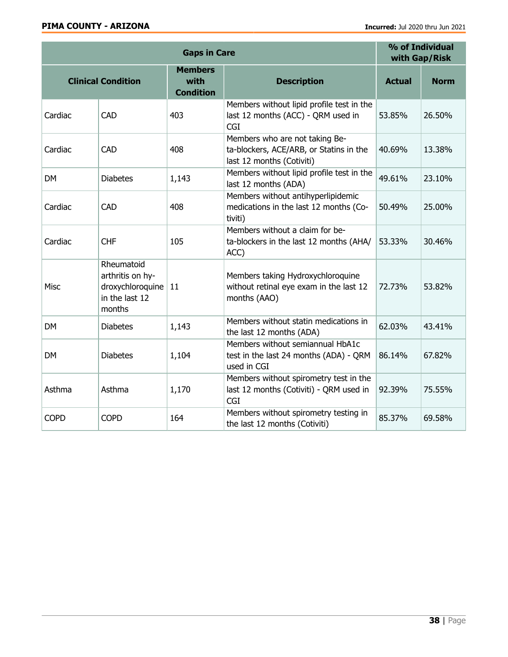|             | % of Individual<br>with Gap/Risk                                               |                                            |                                                                                                        |               |             |
|-------------|--------------------------------------------------------------------------------|--------------------------------------------|--------------------------------------------------------------------------------------------------------|---------------|-------------|
|             | <b>Clinical Condition</b>                                                      | <b>Members</b><br>with<br><b>Condition</b> | <b>Description</b>                                                                                     | <b>Actual</b> | <b>Norm</b> |
| Cardiac     | CAD                                                                            | 403                                        | Members without lipid profile test in the<br>last 12 months (ACC) - QRM used in<br><b>CGI</b>          | 53.85%        | 26.50%      |
| Cardiac     | CAD                                                                            | 408                                        | Members who are not taking Be-<br>ta-blockers, ACE/ARB, or Statins in the<br>last 12 months (Cotiviti) | 40.69%        | 13.38%      |
| <b>DM</b>   | <b>Diabetes</b>                                                                | 1,143                                      | Members without lipid profile test in the<br>last 12 months (ADA)                                      | 49.61%        | 23.10%      |
| Cardiac     | CAD                                                                            | 408                                        | Members without antihyperlipidemic<br>medications in the last 12 months (Co-<br>tiviti)                | 50.49%        | 25.00%      |
| Cardiac     | <b>CHF</b>                                                                     | 105                                        | Members without a claim for be-<br>ta-blockers in the last 12 months (AHA/<br>ACC)                     | 53.33%        | 30.46%      |
| <b>Misc</b> | Rheumatoid<br>arthritis on hy-<br>droxychloroquine<br>in the last 12<br>months | 11                                         | Members taking Hydroxychloroquine<br>without retinal eye exam in the last 12<br>months (AAO)           | 72.73%        | 53.82%      |
| <b>DM</b>   | <b>Diabetes</b>                                                                | 1,143                                      | Members without statin medications in<br>the last 12 months (ADA)                                      | 62.03%        | 43.41%      |
| <b>DM</b>   | <b>Diabetes</b>                                                                | 1,104                                      | Members without semiannual HbA1c<br>test in the last 24 months (ADA) - QRM<br>used in CGI              | 86.14%        | 67.82%      |
| Asthma      | Asthma                                                                         | 1,170                                      | Members without spirometry test in the<br>last 12 months (Cotiviti) - QRM used in<br><b>CGI</b>        | 92.39%        | 75.55%      |
| <b>COPD</b> | <b>COPD</b>                                                                    | 164                                        | Members without spirometry testing in<br>the last 12 months (Cotiviti)                                 | 85.37%        | 69.58%      |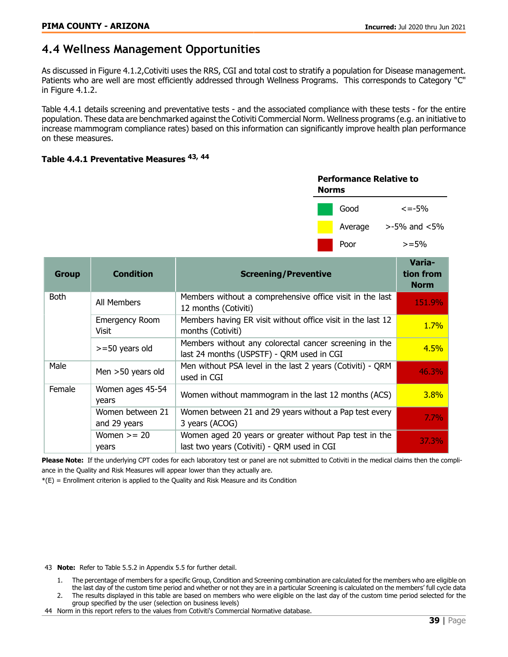# <span id="page-38-0"></span>**4.4 Wellness Management Opportunities**

As discussed in Figure 4.1.2,Cotiviti uses the RRS, CGI and total cost to stratify a population for Disease management. Patients who are well are most efficiently addressed through Wellness Programs. This corresponds to Category "C" in Figure 4.1.2.

Table 4.4.1 details screening and preventative tests - and the associated compliance with these tests - for the entire population. These data are benchmarked against the Cotiviti Commercial Norm. Wellness programs (e.g. an initiative to increase mammogram compliance rates) based on this information can significantly improve health plan performance on these measures.

#### Table 4.4.1 Preventative Measures <sup>43, 44</sup>

| <b>Performance Relative to</b><br>Norms |         |                    |  |  |
|-----------------------------------------|---------|--------------------|--|--|
|                                         | Good    | $\epsilon = -5%$   |  |  |
|                                         | Average | $>$ -5% and $<$ 5% |  |  |
|                                         | Poor    | $> = 5\%$          |  |  |

| <b>Group</b> | <b>Condition</b>                 | <b>Screening/Preventive</b>                                                                           | Varia-<br>tion from<br><b>Norm</b> |
|--------------|----------------------------------|-------------------------------------------------------------------------------------------------------|------------------------------------|
| <b>Both</b>  | All Members                      | Members without a comprehensive office visit in the last<br>12 months (Cotiviti)                      | 151.9%                             |
|              | <b>Emergency Room</b><br>Visit   | Members having ER visit without office visit in the last 12<br>months (Cotiviti)                      | 1.7%                               |
|              | $>=$ 50 years old                | Members without any colorectal cancer screening in the<br>last 24 months (USPSTF) - QRM used in CGI   | 4.5%                               |
| Male         | Men $>50$ years old              | Men without PSA level in the last 2 years (Cotiviti) - QRM<br>used in CGI                             | 46.3%                              |
| Female       | Women ages 45-54<br>years        | Women without mammogram in the last 12 months (ACS)                                                   | 3.8%                               |
|              | Women between 21<br>and 29 years | Women between 21 and 29 years without a Pap test every<br>3 years (ACOG)                              | 7.7%                               |
|              | Women $>= 20$<br>years           | Women aged 20 years or greater without Pap test in the<br>last two years (Cotiviti) - QRM used in CGI | 37.3%                              |

Please Note: If the underlying CPT codes for each laboratory test or panel are not submitted to Cotiviti in the medical claims then the compliance in the Quality and Risk Measures will appear lower than they actually are.

 $*(E)$  = Enrollment criterion is applied to the Quality and Risk Measure and its Condition

43 **Note:** Refer to Table 5.5.2 in Appendix 5.5 for further detail.

- 1. The percentage of members for a specific Group, Condition and Screening combination are calculated for the members who are eligible on the last day of the custom time period and whether or not they are in a particular Screening is calculated on the members' full cycle data
- 2. The results displayed in this table are based on members who were eligible on the last day of the custom time period selected for the group specified by the user (selection on business levels)
- 44 Norm in this report refers to the values from Cotiviti's Commercial Normative database.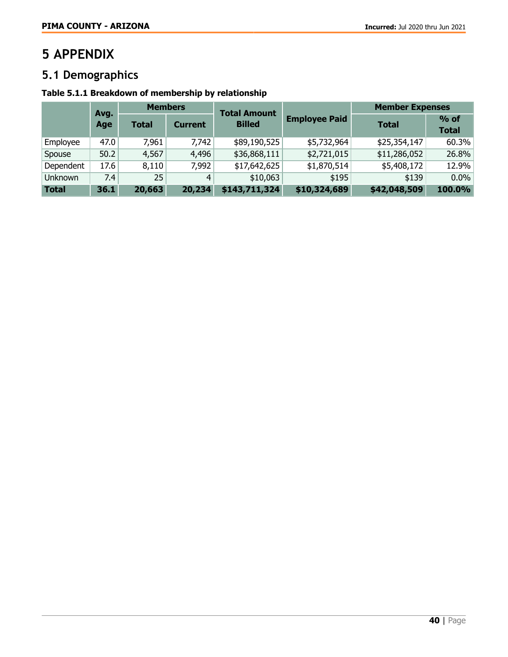# <span id="page-39-0"></span>**5 APPENDIX**

# <span id="page-39-1"></span>**5.1 Demographics**

# Table 5.1.1 Breakdown of membership by relationship

|              | <b>Members</b><br>Avg. |              | <b>Total Amount</b> |               | <b>Member Expenses</b> |              |                        |
|--------------|------------------------|--------------|---------------------|---------------|------------------------|--------------|------------------------|
|              | Age                    | <b>Total</b> | <b>Current</b>      | <b>Billed</b> | <b>Employee Paid</b>   | <b>Total</b> | $%$ of<br><b>Total</b> |
| Employee     | 47.0                   | 7,961        | 7,742               | \$89,190,525  | \$5,732,964            | \$25,354,147 | 60.3%                  |
| Spouse       | 50.2                   | 4,567        | 4,496               | \$36,868,111  | \$2,721,015            | \$11,286,052 | 26.8%                  |
| Dependent    | 17.6                   | 8,110        | 7,992               | \$17,642,625  | \$1,870,514            | \$5,408,172  | 12.9%                  |
| Unknown      | 7.4                    | 25           | 4                   | \$10,063      | \$195                  | \$139        | 0.0%                   |
| <b>Total</b> | 36.1                   | 20,663       | 20,234              | \$143,711,324 | \$10,324,689           | \$42,048,509 | 100.0%                 |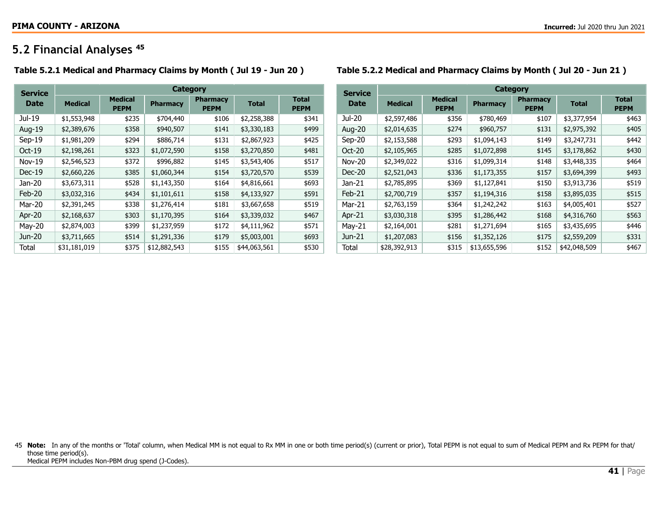# **5.2 Financial Analyses** <sup>45</sup>

#### Table 5.2.1 Medical and Pharmacy Claims by Month ( Jul 19 - Jun 20 ) Table 5.2.2 Medical and Pharmacy Claims by Month ( Jul 20 - Jun 21 )

<span id="page-40-0"></span>

| <b>Service</b> | Category       |                               |                 |                                |              |                             |  |  |  |
|----------------|----------------|-------------------------------|-----------------|--------------------------------|--------------|-----------------------------|--|--|--|
| <b>Date</b>    | <b>Medical</b> | <b>Medical</b><br><b>PEPM</b> | <b>Pharmacy</b> | <b>Pharmacy</b><br><b>PEPM</b> | <b>Total</b> | <b>Total</b><br><b>PEPM</b> |  |  |  |
| Jul-19         | \$1,553,948    | \$235                         | \$704,440       | \$106                          | \$2,258,388  | \$341                       |  |  |  |
| Aug-19         | \$2,389,676    | \$358                         | \$940,507       | \$141                          | \$3,330,183  | \$499                       |  |  |  |
| $Sep-19$       | \$1,981,209    | \$294                         | \$886,714       | \$131                          | \$2,867,923  | \$425                       |  |  |  |
| $Oct-19$       | \$2,198,261    | \$323                         | \$1,072,590     | \$158                          | \$3,270,850  | \$481                       |  |  |  |
| $Nov-19$       | \$2,546,523    | \$372                         | \$996,882       | \$145                          | \$3,543,406  | \$517                       |  |  |  |
| $Dec-19$       | \$2,660,226    | \$385                         | \$1,060,344     | \$154                          | \$3,720,570  | \$539                       |  |  |  |
| Jan-20         | \$3,673,311    | \$528                         | \$1,143,350     | \$164                          | \$4,816,661  | \$693                       |  |  |  |
| $Feb-20$       | \$3,032,316    | \$434                         | \$1,101,611     | \$158                          | \$4,133,927  | \$591                       |  |  |  |
| Mar-20         | \$2,391,245    | \$338                         | \$1,276,414     | \$181                          | \$3,667,658  | \$519                       |  |  |  |
| Apr-20         | \$2,168,637    | \$303                         | \$1,170,395     | \$164                          | \$3,339,032  | \$467                       |  |  |  |
| May-20         | \$2,874,003    | \$399                         | \$1,237,959     | \$172                          | \$4,111,962  | \$571                       |  |  |  |
| Jun-20         | \$3,711,665    | \$514                         | \$1,291,336     | \$179                          | \$5,003,001  | \$693                       |  |  |  |
| Total          | \$31,181,019   | \$375                         | \$12,882,543    | \$155                          | \$44,063,561 | \$530                       |  |  |  |

| <b>Service</b> | Category       |                               |                 |                                |              |                             |  |  |
|----------------|----------------|-------------------------------|-----------------|--------------------------------|--------------|-----------------------------|--|--|
| Date           | <b>Medical</b> | <b>Medical</b><br><b>PEPM</b> | <b>Pharmacy</b> | <b>Pharmacy</b><br><b>PEPM</b> | <b>Total</b> | <b>Total</b><br><b>PEPM</b> |  |  |
| Jul-20         | \$2,597,486    | \$356                         | \$780,469       | \$107                          | \$3,377,954  | \$463                       |  |  |
| Aug-20         | \$2,014,635    | \$274                         | \$960,757       | \$131                          | \$2,975,392  | \$405                       |  |  |
| $Sep-20$       | \$2,153,588    | \$293                         | \$1,094,143     | \$149                          | \$3,247,731  | \$442                       |  |  |
| $Oct-20$       | \$2,105,965    | \$285                         | \$1,072,898     | \$145                          | \$3,178,862  | \$430                       |  |  |
| <b>Nov-20</b>  | \$2,349,022    | \$316                         | \$1,099,314     | \$148                          | \$3,448,335  | \$464                       |  |  |
| $Dec-20$       | \$2,521,043    | \$336                         | \$1,173,355     | \$157                          | \$3,694,399  | \$493                       |  |  |
| Jan-21         | \$2,785,895    | \$369                         | \$1,127,841     | \$150                          | \$3,913,736  | \$519                       |  |  |
| $Feb-21$       | \$2,700,719    | \$357                         | \$1,194,316     | \$158                          | \$3,895,035  | \$515                       |  |  |
| Mar-21         | \$2,763,159    | \$364                         | \$1,242,242     | \$163                          | \$4,005,401  | \$527                       |  |  |
| Apr $-21$      | \$3,030,318    | \$395                         | \$1,286,442     | \$168                          | \$4,316,760  | \$563                       |  |  |
| May-21         | \$2,164,001    | \$281                         | \$1,271,694     | \$165                          | \$3,435,695  | \$446                       |  |  |
| Jun-21         | \$1,207,083    | \$156                         | \$1,352,126     | \$175                          | \$2,559,209  | \$331                       |  |  |
| Total          | \$28,392,913   | \$315                         | \$13,655,596    | \$152                          | \$42,048,509 | \$467                       |  |  |
|                |                |                               |                 |                                |              |                             |  |  |

45 Note: In any of the months or 'Total' column, when Medical MM is not equal to Rx MM in one or both time period(s) (current or prior), Total PEPM is not equal to sum of Medical PEPM and Rx PEPM for that/ those time period(s). Medical PEPM includes Non-PBM drug spend (J-Codes).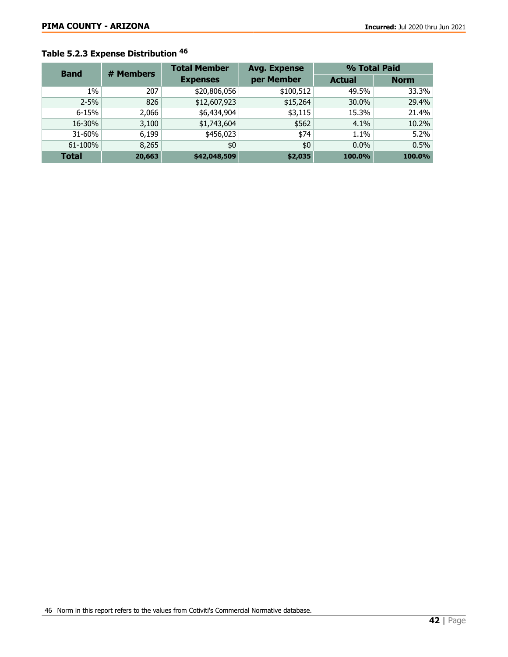# Table 5.2.3 Expense Distribution <sup>46</sup>

| <b>Band</b>  | # Members | <b>Total Member</b> | <b>Avg. Expense</b> | % Total Paid |             |  |
|--------------|-----------|---------------------|---------------------|--------------|-------------|--|
|              |           | <b>Expenses</b>     | per Member          |              | <b>Norm</b> |  |
| 1%           | 207       | \$20,806,056        | \$100,512           | 49.5%        | 33.3%       |  |
| $2 - 5%$     | 826       | \$12,607,923        | \$15,264            | 30.0%        | 29.4%       |  |
| $6 - 15%$    | 2,066     | \$6,434,904         | \$3,115             | 15.3%        | 21.4%       |  |
| 16-30%       | 3,100     | \$1,743,604         | \$562               | 4.1%         | 10.2%       |  |
| 31-60%       | 6,199     | \$456,023           | \$74                | 1.1%         | 5.2%        |  |
| 61-100%      | 8,265     | \$0                 | \$0                 | $0.0\%$      | 0.5%        |  |
| <b>Total</b> | 20,663    | \$42,048,509        | \$2,035             | 100.0%       | 100.0%      |  |

46 Norm in this report refers to the values from Cotiviti's Commercial Normative database.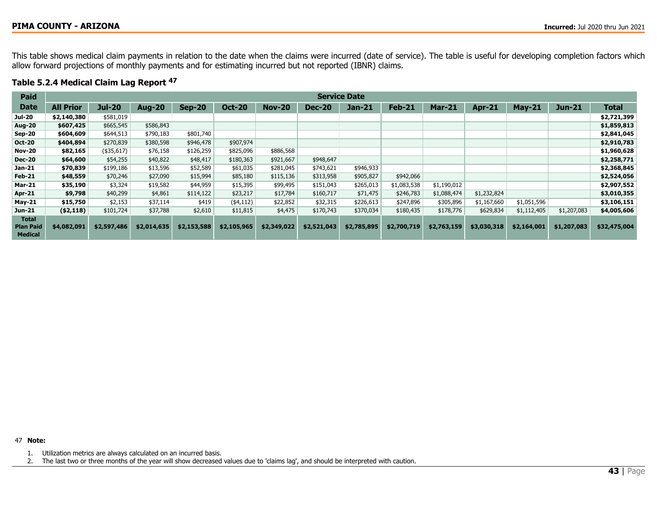This table shows medical claim payments in relation to the date when the claims were incurred (date of service). The table is useful for developing completion factors which allow forward projections of monthly payments and for estimating incurred but not reported (IBNR) claims.

#### Table 5.2.4 Medical Claim Lag Report <sup>47</sup>

| Paid                                               | <b>Service Date</b> |               |               |               |               |               |               |             |             |             |               |             |               |              |
|----------------------------------------------------|---------------------|---------------|---------------|---------------|---------------|---------------|---------------|-------------|-------------|-------------|---------------|-------------|---------------|--------------|
| <b>Date</b>                                        | <b>All Prior</b>    | <b>Jul-20</b> | <b>Aug-20</b> | <b>Sep-20</b> | <b>Oct-20</b> | <b>Nov-20</b> | <b>Dec-20</b> | $Jan-21$    | Feb-21      | $Mar-21$    | <b>Apr-21</b> | May-21      | <b>Jun-21</b> | <b>Total</b> |
| <b>Jul-20</b>                                      | \$2,140,380         | \$581,019     |               |               |               |               |               |             |             |             |               |             |               | \$2,721,399  |
| <b>Aug-20</b>                                      | \$607,425           | \$665,545     | \$586,843     |               |               |               |               |             |             |             |               |             |               | \$1,859,813  |
| <b>Sep-20</b>                                      | \$604,609           | \$644,513     | \$790,183     | \$801,740     |               |               |               |             |             |             |               |             |               | \$2,841,045  |
| <b>Oct-20</b>                                      | \$404,894           | \$270,839     | \$380,598     | \$946,478     | \$907,974     |               |               |             |             |             |               |             |               | \$2,910,783  |
| <b>Nov-20</b>                                      | \$82,165            | $($ \$35,617) | \$76,158      | \$126,259     | \$825,096     | \$886,568     |               |             |             |             |               |             |               | \$1,960,628  |
| <b>Dec-20</b>                                      | \$64,600            | \$54,255      | \$40,822      | \$48,417      | \$180,363     | \$921,667     | \$948,647     |             |             |             |               |             |               | \$2,258,771  |
| Jan-21                                             | \$70,839            | \$199,186     | \$13,596      | \$52,589      | \$61,035      | \$281,045     | \$743,621     | \$946,933   |             |             |               |             |               | \$2,368,845  |
| <b>Feb-21</b>                                      | \$48,559            | \$70,246      | \$27,090      | \$15,994      | \$85,180      | \$115,136     | \$313,958     | \$905,827   | \$942,066   |             |               |             |               | \$2,524,056  |
| <b>Mar-21</b>                                      | \$35,190            | \$3,324       | \$19,582      | \$44,959      | \$15,395      | \$99,495      | \$151,043     | \$265,013   | \$1,083,538 | \$1,190,012 |               |             |               | \$2,907,552  |
| Apr-21                                             | \$9,798             | \$40,299      | \$4,861       | \$114,122     | \$23,217      | \$17,784      | \$160,717     | \$71,475    | \$246,783   | \$1,088,474 | \$1,232,824   |             |               | \$3,010,355  |
| $May-21$                                           | \$15,750            | \$2,153       | \$37,114      | \$419         | (4,112)       | \$22,852      | \$32,315      | \$226,613   | \$247,896   | \$305,896   | \$1,167,660   | \$1,051,596 |               | \$3,106,151  |
| Jun-21                                             | ( \$2,118)          | \$101,724     | \$37,788      | \$2,610       | \$11,815      | \$4,475       | \$170,743     | \$370,034   | \$180,435   | \$178,776   | \$629,834     | \$1,112,405 | \$1,207,083   | \$4,005,606  |
| <b>Total</b><br><b>Plan Paid</b><br><b>Medical</b> | \$4,082,091         | \$2,597,486   | \$2,014,635   | \$2,153,588   | \$2,105,965   | \$2,349,022   | \$2,521,043   | \$2,785,895 | \$2,700,719 | \$2,763,159 | \$3,030,318   | \$2,164,001 | \$1,207,083   | \$32,475,004 |

47 Note:

1. Utilization metrics are always calculated on an incurred basis.

2. The last two or three months of the year will show decreased values due to 'claims lag', and should be interpreted with caution.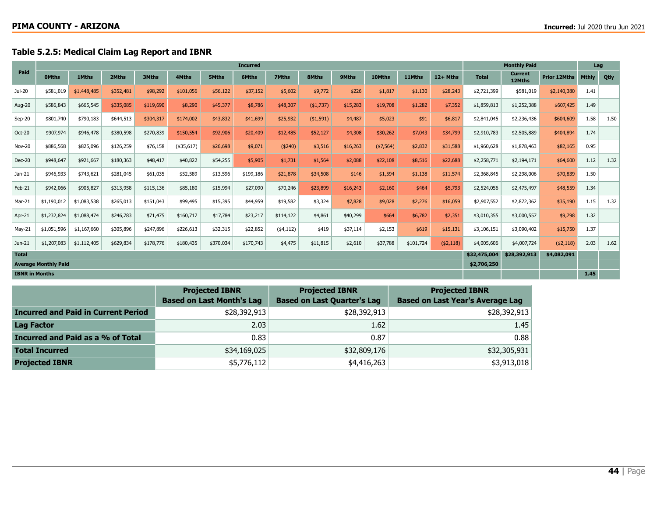## Table 5.2.5: Medical Claim Lag Report and IBNR

|               |                             |             |           |           |             |           | <b>Incurred</b> |            |            |          |            |           |            |              | <b>Monthly Paid</b>      |                     | Lag          |      |
|---------------|-----------------------------|-------------|-----------|-----------|-------------|-----------|-----------------|------------|------------|----------|------------|-----------|------------|--------------|--------------------------|---------------------|--------------|------|
| Paid          | <b>OMths</b>                | 1Mths       | 2Mths     | 3Mths     | 4Mths       | 5Mths     | <b>6Mths</b>    | 7Mths      | 8Mths      | 9Mths    | 10Mths     | 11Mths    | 12+ Mths   | <b>Total</b> | <b>Current</b><br>12Mths | <b>Prior 12Mths</b> | <b>Mthly</b> | Qtly |
| Jul-20        | \$581,019                   | \$1,448,485 | \$352,481 | \$98,292  | \$101,056   | \$56,122  | \$37,152        | \$5,602    | \$9,772    | \$226    | \$1,817    | \$1,130   | \$28,243   | \$2,721,399  | \$581,019                | \$2,140,380         | 1.41         |      |
| Aug-20        | \$586,843                   | \$665,545   | \$335,085 | \$119,690 | \$8,290     | \$45,377  | \$8,786         | \$48,307   | ( \$1,737) | \$15,283 | \$19,708   | \$1,282   | \$7,352    | \$1,859,813  | \$1,252,388              | \$607,425           | 1.49         |      |
| $Sep-20$      | \$801,740                   | \$790,183   | \$644,513 | \$304,317 | \$174,002   | \$43,832  | \$41,699        | \$25,932   | ( \$1,591) | \$4,487  | \$5,023    | \$91      | \$6,817    | \$2,841,045  | \$2,236,436              | \$604,609           | 1.58         | 1.50 |
| Oct-20        | \$907,974                   | \$946,478   | \$380,598 | \$270,839 | \$150,554   | \$92,906  | \$20,409        | \$12,485   | \$52,127   | \$4,308  | \$30,262   | \$7,043   | \$34,799   | \$2,910,783  | \$2,505,889              | \$404,894           | 1.74         |      |
| <b>Nov-20</b> | \$886,568                   | \$825,096   | \$126,259 | \$76,158  | $(*35,617)$ | \$26,698  | \$9,071         | ( \$240)   | \$3,516    | \$16,263 | ( \$7,564) | \$2,832   | \$31,588   | \$1,960,628  | \$1,878,463              | \$82,165            | 0.95         |      |
| <b>Dec-20</b> | \$948,647                   | \$921,667   | \$180,363 | \$48,417  | \$40,822    | \$54,255  | \$5,905         | \$1,731    | \$1,564    | \$2,088  | \$22,108   | \$8,516   | \$22,688   | \$2,258,771  | \$2,194,171              | \$64,600            | 1.12         | 1.32 |
| $Jan-21$      | \$946,933                   | \$743,621   | \$281,045 | \$61,035  | \$52,589    | \$13,596  | \$199,186       | \$21,878   | \$34,508   | \$146    | \$1,594    | \$1,138   | \$11,574   | \$2,368,845  | \$2,298,006              | \$70,839            | 1.50         |      |
| Feb-21        | \$942,066                   | \$905,827   | \$313,958 | \$115,136 | \$85,180    | \$15,994  | \$27,090        | \$70,246   | \$23,899   | \$16,243 | \$2,160    | \$464     | \$5,793    | \$2,524,056  | \$2,475,497              | \$48,559            | 1.34         |      |
| Mar-21        | \$1,190,012                 | \$1,083,538 | \$265,013 | \$151,043 | \$99,495    | \$15,395  | \$44,959        | \$19,582   | \$3,324    | \$7,828  | \$9,028    | \$2,276   | \$16,059   | \$2,907,552  | \$2,872,362              | \$35,190            | 1.15         | 1.32 |
| Apr-21        | \$1,232,824                 | \$1,088,474 | \$246,783 | \$71,475  | \$160,717   | \$17,784  | \$23,217        | \$114,122  | \$4,861    | \$40,299 | \$664      | \$6,782   | \$2,351    | \$3,010,355  | \$3,000,557              | \$9,798             | 1.32         |      |
| May-21        | \$1,051,596                 | \$1,167,660 | \$305,896 | \$247,896 | \$226,613   | \$32,315  | \$22,852        | ( \$4,112) | \$419      | \$37,114 | \$2,153    | \$619     | \$15,131   | \$3,106,151  | \$3,090,402              | \$15,750            | 1.37         |      |
| Jun-21        | \$1,207,083                 | \$1,112,405 | \$629,834 | \$178,776 | \$180,435   | \$370,034 | \$170,743       | \$4,475    | \$11,815   | \$2,610  | \$37,788   | \$101,724 | ( \$2,118) | \$4,005,606  | \$4,007,724              | ( \$2,118)          | 2.03         | 1.62 |
| <b>Total</b>  |                             |             |           |           |             |           |                 |            |            |          |            |           |            | \$32,475,004 | \$28,392,913             | \$4,082,091         |              |      |
|               | <b>Average Monthly Paid</b> |             |           |           |             |           |                 |            |            |          |            |           |            | \$2,706,250  |                          |                     |              |      |
|               | <b>IBNR in Months</b>       |             |           |           |             |           |                 |            |            |          |            |           |            | 1.45         |                          |                     |              |      |

|                                            | <b>Projected IBNR</b><br><b>Based on Last Month's Lag</b> | <b>Projected IBNR</b><br><b>Based on Last Quarter's Lag</b> | <b>Projected IBNR</b><br><b>Based on Last Year's Average Lag</b> |
|--------------------------------------------|-----------------------------------------------------------|-------------------------------------------------------------|------------------------------------------------------------------|
| <b>Incurred and Paid in Current Period</b> | \$28,392,913                                              | \$28,392,913                                                | \$28,392,913                                                     |
| <b>Lag Factor</b>                          | 2.03                                                      | 1.62                                                        | 1.45                                                             |
| Incurred and Paid as a % of Total          | 0.83                                                      | 0.87                                                        | 0.88                                                             |
| <b>Total Incurred</b>                      | \$34,169,025                                              | \$32,809,176                                                | \$32,305,931                                                     |
| <b>Projected IBNR</b>                      | \$5,776,112                                               | \$4,416,263                                                 | \$3,913,018                                                      |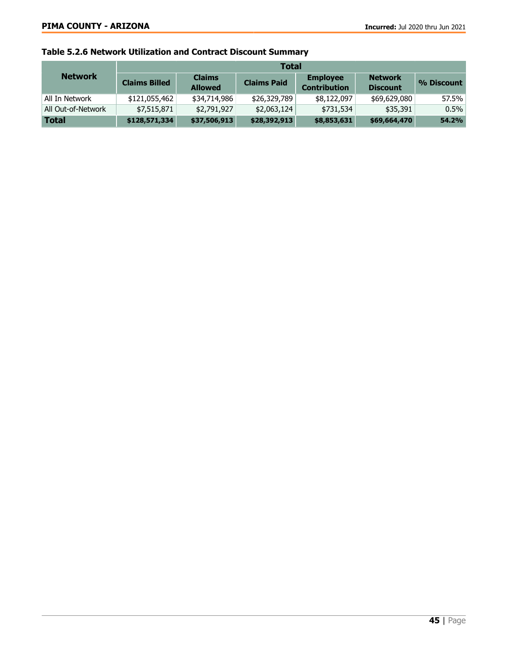# Table 5.2.6 Network Utilization and Contract Discount Summary

|                    | <b>Total</b>         |                                 |                    |                                        |                                   |            |  |  |  |  |
|--------------------|----------------------|---------------------------------|--------------------|----------------------------------------|-----------------------------------|------------|--|--|--|--|
| <b>Network</b>     | <b>Claims Billed</b> | <b>Claims</b><br><b>Allowed</b> | <b>Claims Paid</b> | <b>Employee</b><br><b>Contribution</b> | <b>Network</b><br><b>Discount</b> | % Discount |  |  |  |  |
| All In Network     | \$121,055,462        | \$34,714,986                    | \$26,329,789       | \$8,122,097                            | \$69,629,080                      | 57.5%      |  |  |  |  |
| All Out-of-Network | \$7,515,871          | \$2,791,927                     | \$2,063,124        | \$731,534                              | \$35,391                          | 0.5%       |  |  |  |  |
| <b>Total</b>       | \$128,571,334        | \$37,506,913                    | \$28,392,913       | \$8,853,631                            | \$69,664,470                      | 54.2%      |  |  |  |  |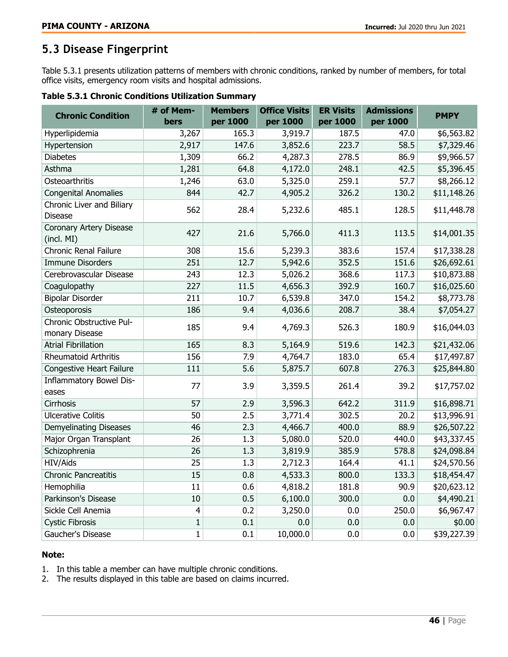# <span id="page-45-0"></span>**5.3 Disease Fingerprint**

Table 5.3.1 presents utilization patterns of members with chronic conditions, ranked by number of members, for total office visits, emergency room visits and hospital admissions.

| Table 5.3.1 Chronic Conditions Utilization Summary |  |  |  |
|----------------------------------------------------|--|--|--|
|----------------------------------------------------|--|--|--|

| <b>Chronic Condition</b>                    | # of Mem-<br>bers | <b>Members</b><br>per 1000 | <b>Office Visits</b><br>per 1000 | <b>ER Visits</b><br>per 1000 | <b>Admissions</b><br>per 1000 | <b>PMPY</b> |
|---------------------------------------------|-------------------|----------------------------|----------------------------------|------------------------------|-------------------------------|-------------|
| Hyperlipidemia                              | 3,267             | 165.3                      | 3,919.7                          | 187.5                        | 47.0                          | \$6,563.82  |
| Hypertension                                | 2,917             | 147.6                      | 3,852.6                          | 223.7                        | 58.5                          | \$7,329.46  |
| <b>Diabetes</b>                             | 1,309             | 66.2                       | 4,287.3                          | 278.5                        | 86.9                          | \$9,966.57  |
| Asthma                                      | 1,281             | 64.8                       | 4,172.0                          | 248.1                        | 42.5                          | \$5,396.45  |
| Osteoarthritis                              | 1,246             | 63.0                       | 5,325.0                          | 259.1                        | 57.7                          | \$8,266.12  |
| <b>Congenital Anomalies</b>                 | 844               | 42.7                       | 4,905.2                          | 326.2                        | 130.2                         | \$11,148.26 |
| Chronic Liver and Biliary<br><b>Disease</b> | 562               | 28.4                       | 5,232.6                          | 485.1                        | 128.5                         | \$11,448.78 |
| Coronary Artery Disease<br>(incl. MI)       | 427               | 21.6                       | 5,766.0                          | 411.3                        | 113.5                         | \$14,001.35 |
| <b>Chronic Renal Failure</b>                | 308               | 15.6                       | 5,239.3                          | 383.6                        | 157.4                         | \$17,338.28 |
| <b>Immune Disorders</b>                     | 251               | 12.7                       | 5,942.6                          | 352.5                        | 151.6                         | \$26,692.61 |
| Cerebrovascular Disease                     | 243               | 12.3                       | 5,026.2                          | 368.6                        | 117.3                         | \$10,873.88 |
| Coagulopathy                                | 227               | 11.5                       | 4,656.3                          | 392.9                        | 160.7                         | \$16,025.60 |
| <b>Bipolar Disorder</b>                     | 211               | 10.7                       | 6,539.8                          | 347.0                        | 154.2                         | \$8,773.78  |
| Osteoporosis                                | 186               | 9.4                        | 4,036.6                          | 208.7                        | 38.4                          | \$7,054.27  |
| Chronic Obstructive Pul-                    | 185               | 9.4                        | 4,769.3                          | 526.3                        | 180.9                         | \$16,044.03 |
| monary Disease                              |                   |                            |                                  |                              |                               |             |
| <b>Atrial Fibrillation</b>                  | 165               | 8.3                        | 5,164.9                          | 519.6                        | 142.3                         | \$21,432.06 |
| <b>Rheumatoid Arthritis</b>                 | 156               | 7.9                        | 4,764.7                          | 183.0                        | 65.4                          | \$17,497.87 |
| Congestive Heart Failure                    | 111               | 5.6                        | 5,875.7                          | 607.8                        | 276.3                         | \$25,844.80 |
| Inflammatory Bowel Dis-<br>eases            | 77                | 3.9                        | 3,359.5                          | 261.4                        | 39.2                          | \$17,757.02 |
| Cirrhosis                                   | 57                | 2.9                        | 3,596.3                          | 642.2                        | 311.9                         | \$16,898.71 |
| <b>Ulcerative Colitis</b>                   | 50                | 2.5                        | 3,771.4                          | 302.5                        | 20.2                          | \$13,996.91 |
| <b>Demyelinating Diseases</b>               | 46                | 2.3                        | 4,466.7                          | 400.0                        | 88.9                          | \$26,507.22 |
| Major Organ Transplant                      | 26                | 1.3                        | 5,080.0                          | 520.0                        | 440.0                         | \$43,337.45 |
| Schizophrenia                               | 26                | 1.3                        | 3,819.9                          | 385.9                        | 578.8                         | \$24,098.84 |
| HIV/Aids                                    | 25                | 1.3                        | 2,712.3                          | 164.4                        | 41.1                          | \$24,570.56 |
| <b>Chronic Pancreatitis</b>                 | 15                | 0.8                        | 4,533.3                          | 800.0                        | 133.3                         | \$18,454.47 |
| Hemophilia                                  | 11                | 0.6                        | 4,818.2                          | 181.8                        | 90.9                          | \$20,623.12 |
| Parkinson's Disease                         | 10                | 0.5                        | 6,100.0                          | 300.0                        | 0.0                           | \$4,490.21  |
| Sickle Cell Anemia                          | $\overline{4}$    | 0.2                        | 3,250.0                          | 0.0                          | 250.0                         | \$6,967.47  |
| <b>Cystic Fibrosis</b>                      | $\mathbf{1}$      | 0.1                        | 0.0                              | 0.0                          | 0.0                           | \$0.00      |
| Gaucher's Disease                           | $\mathbf{1}$      | 0.1                        | 10,000.0                         | 0.0                          | 0.0                           | \$39,227.39 |

#### Note:

1. In this table a member can have multiple chronic conditions.

2. The results displayed in this table are based on claims incurred.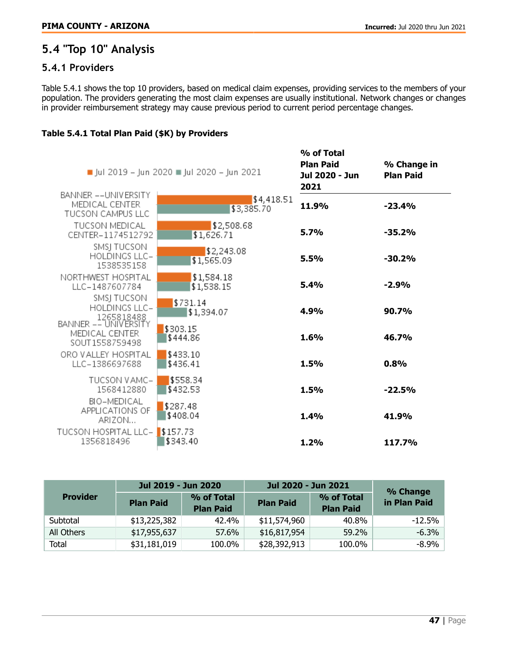# <span id="page-46-0"></span>**5.4 "Top 10" Analysis**

# <span id="page-46-1"></span>**5.4.1 Providers**

Table 5.4.1 shows the top 10 providers, based on medical claim expenses, providing services to the members of your population. The providers generating the most claim expenses are usually institutional. Network changes or changes in provider reimbursement strategy may cause previous period to current period percentage changes.

### Table 5.4.1 Total Plan Paid (\$K) by Providers

|                                                             | ■ Jul 2019 – Jun 2020 ■ Jul 2020 – Jun 2021 | % of Total<br><b>Plan Paid</b><br>Jul 2020 - Jun<br>2021 | % Change in<br><b>Plan Paid</b> |
|-------------------------------------------------------------|---------------------------------------------|----------------------------------------------------------|---------------------------------|
| BANNER -- UNIVERSITY<br>MEDICAL CENTER<br>TUCSON CAMPUS LLC | \$4,418.51<br>\$3,385.70                    | 11.9%                                                    | $-23.4%$                        |
| <b>TUCSON MEDICAL</b><br>CENTER-1174512792                  | \$2,508.68<br>\$1,626.71                    | 5.7%                                                     | $-35.2%$                        |
| SMSJ TUCSON<br><b>HOLDINGS LLC-</b><br>1538535158           | \$2,243.08<br>\$1,565.09                    | 5.5%                                                     | $-30.2%$                        |
| NORTHWEST HOSPITAL<br>LLC-1487607784                        | \$1,584.18<br>\$1,538.15                    | 5.4%                                                     | $-2.9%$                         |
| SMSJ TUCSON<br>HOLDINGS LLC-<br>1265818488                  | \$731.14<br>\$1,394.07                      | 4.9%                                                     | <b>90.7%</b>                    |
| BANNER -- UNIVERSITY<br>MEDICAL CENTER<br>SOUT1558759498    | \$303.15<br>\$444.86                        | 1.6%                                                     | 46.7%                           |
| ORO VALLEY HOSPITAL<br>LLC-1386697688                       | \$433.10<br>\$436.41                        | 1.5%                                                     | 0.8%                            |
| TUCSON VAMC-<br>1568412880                                  | \$558.34<br>\$432.53                        | 1.5%                                                     | $-22.5%$                        |
| BIO-MEDICAL<br>APPLICATIONS OF<br>ARIZON                    | \$287.48<br>\$408.04                        | 1.4%                                                     | 41.9%                           |
| TUCSON HOSPITAL LLC-<br>1356818496                          | \$157.73<br>\$343.40                        | 1.2%                                                     | 117.7%                          |
|                                                             |                                             |                                                          |                                 |

|                 | Jul 2019 - Jun 2020 |                                | Jul 2020 - Jun 2021 | % Change                       |              |
|-----------------|---------------------|--------------------------------|---------------------|--------------------------------|--------------|
| <b>Provider</b> | <b>Plan Paid</b>    | % of Total<br><b>Plan Paid</b> | <b>Plan Paid</b>    | % of Total<br><b>Plan Paid</b> | in Plan Paid |
| Subtotal        | \$13,225,382        | 42.4%                          | \$11,574,960        | 40.8%                          | $-12.5%$     |
| All Others      | \$17,955,637        | 57.6%                          | \$16,817,954        | 59.2%                          | $-6.3%$      |
| Total           | \$31,181,019        | 100.0%                         | \$28,392,913        | 100.0%                         | $-8.9\%$     |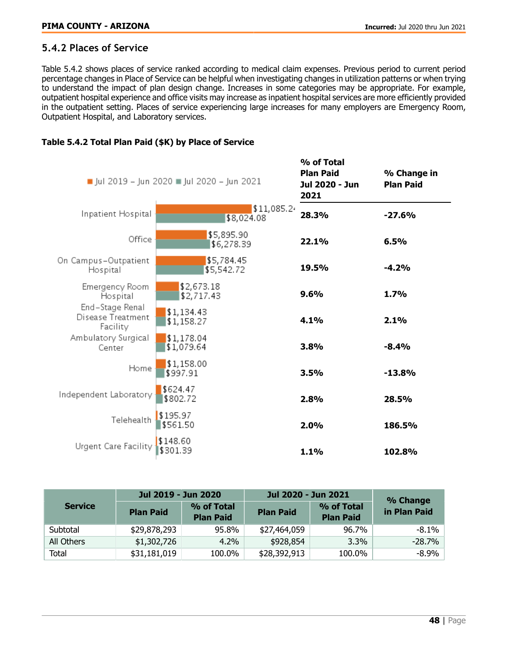## <span id="page-47-0"></span>**5.4.2 Places of Service**

Table 5.4.2 shows places of service ranked according to medical claim expenses. Previous period to current period percentage changes in Place of Service can be helpful when investigating changes in utilization patterns or when trying to understand the impact of plan design change. Increases in some categories may be appropriate. For example, outpatient hospital experience and office visits may increase as inpatient hospital services are more efficiently provided in the outpatient setting. Places of service experiencing large increases for many employers are Emergency Room, Outpatient Hospital, and Laboratory services.

|                                                  | Jul 2019 - Jun 2020 Jul 2020 - Jun 2021 | % of Total<br><b>Plan Paid</b><br>Jul 2020 - Jun<br>2021 | % Change in<br><b>Plan Paid</b> |
|--------------------------------------------------|-----------------------------------------|----------------------------------------------------------|---------------------------------|
| Inpatient Hospital                               | \$11,085.2<br>\$8,024.08                | 28.3%                                                    | $-27.6%$                        |
| Office                                           | \$5,895.90<br>\$6,278.39                | 22.1%                                                    | 6.5%                            |
| On Campus-Outpatient<br>Hospital                 | \$5,784.45<br>\$5,542.72                | 19.5%                                                    | $-4.2%$                         |
| Emergency Room<br>Hospital                       | \$2,673.18<br>\$2,717.43                | 9.6%                                                     | 1.7%                            |
| End-Stage Renal<br>Disease Treatment<br>Facility | \$1,134.43<br>\$1,158.27                | 4.1%                                                     | 2.1%                            |
| Ambulatory Surgical<br>Center                    | \$1,178.04<br>\$1,079.64                | 3.8%                                                     | $-8.4%$                         |
| Home                                             | \$1,158.00<br>\$997.91                  | 3.5%                                                     | $-13.8%$                        |
| Independent Laboratory                           | \$624.47<br>\$802.72                    | 2.8%                                                     | 28.5%                           |
| Telehealth                                       | \$195.97<br>\$561.50                    | 2.0%                                                     | 186.5%                          |
| Urgent Care Facility                             | \$148.60<br>\$301.39                    | 1.1%                                                     | 102.8%                          |

### Table 5.4.2 Total Plan Paid (\$K) by Place of Service

|                | Jul 2019 - Jun 2020 |                                | Jul 2020 - Jun 2021 | % Change                       |              |
|----------------|---------------------|--------------------------------|---------------------|--------------------------------|--------------|
| <b>Service</b> | <b>Plan Paid</b>    | % of Total<br><b>Plan Paid</b> | <b>Plan Paid</b>    | % of Total<br><b>Plan Paid</b> | in Plan Paid |
| Subtotal       | \$29,878,293        | 95.8%                          | \$27,464,059        | 96.7%                          | $-8.1\%$     |
| All Others     | \$1,302,726         | 4.2%                           | \$928,854           | 3.3%                           | $-28.7\%$    |
| Total          | \$31,181,019        | 100.0%                         | \$28,392,913        | 100.0%                         | $-8.9\%$     |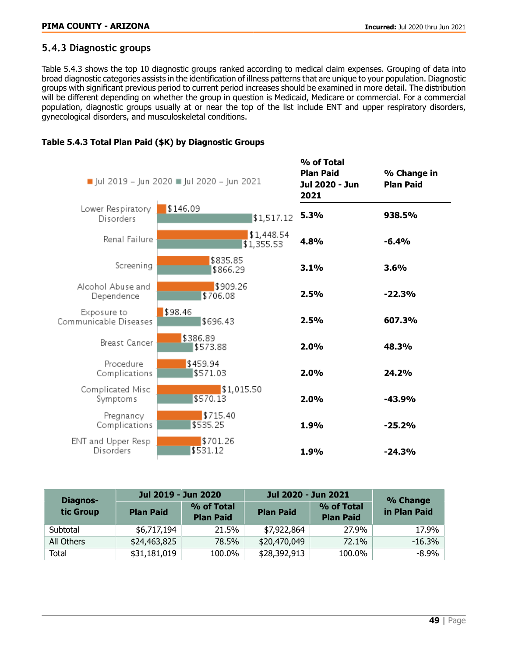### <span id="page-48-0"></span>**5.4.3 Diagnostic groups**

Table 5.4.3 shows the top 10 diagnostic groups ranked according to medical claim expenses. Grouping of data into broad diagnostic categories assists in the identification of illness patterns that are unique to your population. Diagnostic groups with significant previous period to current period increases should be examined in more detail. The distribution will be different depending on whether the group in question is Medicaid, Medicare or commercial. For a commercial population, diagnostic groups usually at or near the top of the list include ENT and upper respiratory disorders, gynecological disorders, and musculoskeletal conditions.



#### Table 5.4.3 Total Plan Paid (\$K) by Diagnostic Groups

| Diagnos-   | Jul 2019 - Jun 2020 |                                | Jul 2020 - Jun 2021 | % Change                       |              |
|------------|---------------------|--------------------------------|---------------------|--------------------------------|--------------|
| tic Group  | <b>Plan Paid</b>    | % of Total<br><b>Plan Paid</b> | <b>Plan Paid</b>    | % of Total<br><b>Plan Paid</b> | in Plan Paid |
| Subtotal   | \$6,717,194         | 21.5%                          | \$7,922,864         | 27.9%                          | 17.9%        |
| All Others | \$24,463,825        | 78.5%                          | \$20,470,049        | 72.1%                          | $-16.3%$     |
| Total      | \$31,181,019        | 100.0%                         | \$28,392,913        | 100.0%                         | -8.9%        |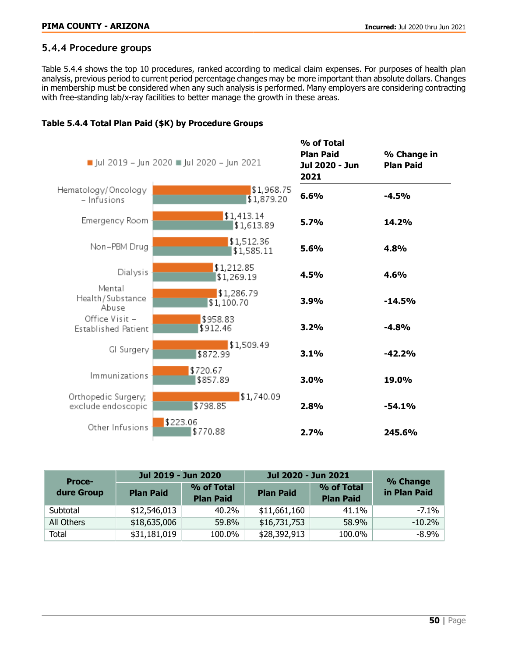## <span id="page-49-0"></span>**5.4.4 Procedure groups**

Table 5.4.4 shows the top 10 procedures, ranked according to medical claim expenses. For purposes of health plan analysis, previous period to current period percentage changes may be more important than absolute dollars. Changes in membership must be considered when any such analysis is performed. Many employers are considering contracting with free-standing lab/x-ray facilities to better manage the growth in these areas.

### Table 5.4.4 Total Plan Paid (\$K) by Procedure Groups

|                                           | Jul 2019 - Jun 2020 Jul 2020 - Jun 2021 | % of Total<br><b>Plan Paid</b><br>Jul 2020 - Jun<br>2021 | % Change in<br><b>Plan Paid</b> |
|-------------------------------------------|-----------------------------------------|----------------------------------------------------------|---------------------------------|
| Hematology/Oncology<br>- Infusions        | \$1,968.75<br>\$1,879.20                | 6.6%                                                     | $-4.5%$                         |
| Emergency Room                            | \$1,413.14<br>\$1,613.89                | 5.7%                                                     | 14.2%                           |
| Non-PBM Drug                              | \$1,512.36<br>\$1,585.11                | 5.6%                                                     | 4.8%                            |
| Dialysis                                  | \$1,212.85<br>\$1,269.19                | 4.5%                                                     | 4.6%                            |
| Mental<br>Health/Substance<br>Abuse       | \$1,286.79<br>\$1,100.70                | 3.9%                                                     | $-14.5%$                        |
| Office Visit -<br>Established Patient     | \$958.83<br>\$912.46                    | 3.2%                                                     | $-4.8%$                         |
| GI Surgery                                | \$1,509.49<br>\$872.99                  | 3.1%                                                     | $-42.2%$                        |
| Immunizations                             | \$720.67<br>\$857.89                    | 3.0%                                                     | 19.0%                           |
| Orthopedic Surgery;<br>exclude endoscopic | \$1,740.09<br>\$798.85                  | 2.8%                                                     | $-54.1%$                        |
| Other Infusions                           | \$223.06<br>\$770.88                    | 2.7%                                                     | 245.6%                          |

| <b>Proce-</b> | Jul 2019 - Jun 2020 |                                | Jul 2020 - Jun 2021 | % Change                       |              |
|---------------|---------------------|--------------------------------|---------------------|--------------------------------|--------------|
| dure Group    | <b>Plan Paid</b>    | % of Total<br><b>Plan Paid</b> | <b>Plan Paid</b>    | % of Total<br><b>Plan Paid</b> | in Plan Paid |
| Subtotal      | \$12,546,013        | 40.2%                          | \$11,661,160        | 41.1%                          | $-7.1\%$     |
| All Others    | \$18,635,006        | 59.8%                          | \$16,731,753        | 58.9%                          | $-10.2%$     |
| Total         | \$31,181,019        | 100.0%                         | \$28,392,913        | 100.0%                         | $-8.9%$      |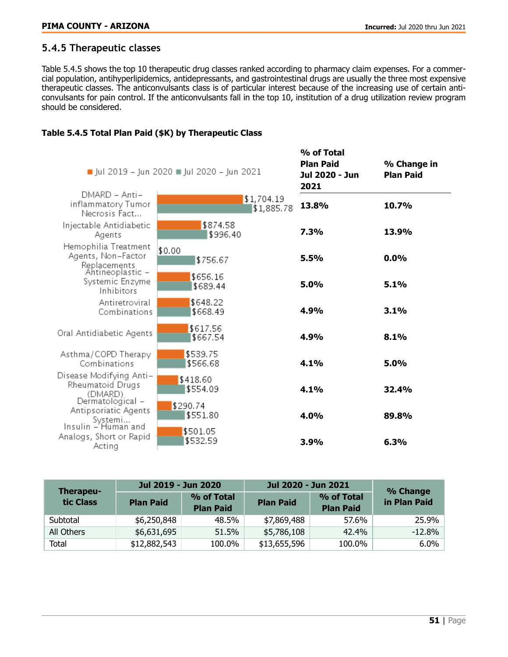## <span id="page-50-0"></span>**5.4.5 Therapeutic classes**

Table 5.4.5 shows the top 10 therapeutic drug classes ranked according to pharmacy claim expenses. For a commercial population, antihyperlipidemics, antidepressants, and gastrointestinal drugs are usually the three most expensive therapeutic classes. The anticonvulsants class is of particular interest because of the increasing use of certain anticonvulsants for pain control. If the anticonvulsants fall in the top 10, institution of a drug utilization review program should be considered.

### Table 5.4.5 Total Plan Paid (\$K) by Therapeutic Class

|                                                                            | ■ Jul 2019 – Jun 2020 ■ Jul 2020 – Jun 2021 | % of Total<br><b>Plan Paid</b><br>Jul 2020 - Jun<br>2021 | % Change in<br><b>Plan Paid</b> |
|----------------------------------------------------------------------------|---------------------------------------------|----------------------------------------------------------|---------------------------------|
| DMARD - Anti-<br>inflammatory Tumor<br>Necrosis Fact                       | \$1,704.19<br>\$1,885.78                    | 13.8%                                                    | 10.7%                           |
| Injectable Antidiabetic<br>Agents                                          | \$874.58<br>\$996.40                        | <b>7.3%</b>                                              | 13.9%                           |
| Hemophilia Treatment<br>Agents, Non-Factor<br>Replacements                 | \$0.00<br>\$756.67                          | 5.5%                                                     | 0.0%                            |
| Antineoplastic –<br>Systemic Enzyme<br>Inhibitors                          | \$656.16<br>\$689.44                        | 5.0%                                                     | 5.1%                            |
| Antiretroviral<br>Combinations                                             | \$648.22<br>\$668.49                        | 4.9%                                                     | 3.1%                            |
| Oral Antidiabetic Agents                                                   | \$617.56<br>\$667.54                        | 4.9%                                                     | 8.1%                            |
| Asthma/COPD Therapy<br>Combinations                                        | \$539.75<br>\$566.68                        | 4.1%                                                     | 5.0%                            |
| Disease Modifying Anti–<br>Rheumatoid Drugs<br>(DMARD)                     | \$418.60<br>\$554.09                        | 4.1%                                                     | 32.4%                           |
| Dermatological –<br>Antipsoriatic Agents<br>Systemi<br>Insulin – Human and | \$290.74<br>\$551.80                        | 4.0%                                                     | 89.8%                           |
| Analogs, Short or Rapid<br>Acting                                          | \$501.05<br>\$532.59                        | 3.9%                                                     | 6.3%                            |

| Therapeu-  | Jul 2019 - Jun 2020 |                                | Jul 2020 - Jun 2021 | % Change                       |              |
|------------|---------------------|--------------------------------|---------------------|--------------------------------|--------------|
| tic Class  | <b>Plan Paid</b>    | % of Total<br><b>Plan Paid</b> | <b>Plan Paid</b>    | % of Total<br><b>Plan Paid</b> | in Plan Paid |
| Subtotal   | \$6,250,848         | 48.5%                          | \$7,869,488         | 57.6%                          | 25.9%        |
| All Others | \$6,631,695         | 51.5%                          | \$5,786,108         | 42.4%                          | $-12.8%$     |
| Total      | \$12,882,543        | 100.0%                         | \$13,655,596        | 100.0%                         | 6.0%         |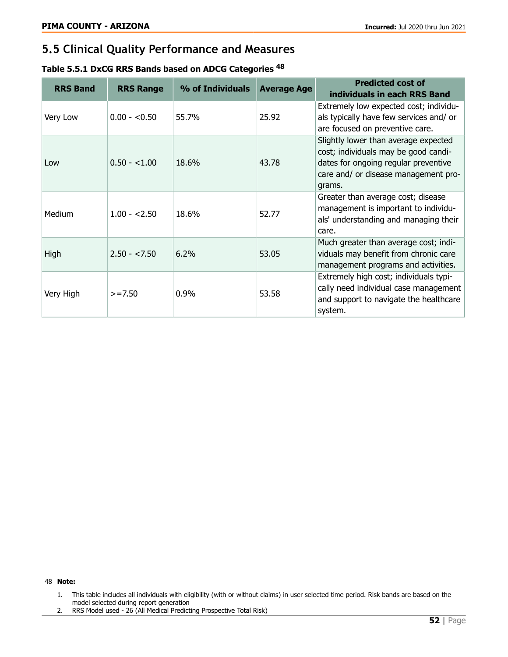# <span id="page-51-0"></span>**5.5 Clinical Quality Performance and Measures**

| Table 5.5.1 DxCG RRS Bands based on ADCG Categories <sup>48</sup> |  |  |
|-------------------------------------------------------------------|--|--|
|-------------------------------------------------------------------|--|--|

| <b>RRS Band</b> | <b>RRS Range</b> | % of Individuals | <b>Average Age</b> | <b>Predicted cost of</b><br>individuals in each RRS Band                                                                                                               |
|-----------------|------------------|------------------|--------------------|------------------------------------------------------------------------------------------------------------------------------------------------------------------------|
| Very Low        | $0.00 - 0.50$    | 55.7%            | 25.92              | Extremely low expected cost; individu-<br>als typically have few services and/ or<br>are focused on preventive care.                                                   |
| Low             | $0.50 - 1.00$    | 18.6%            | 43.78              | Slightly lower than average expected<br>cost; individuals may be good candi-<br>dates for ongoing regular preventive<br>care and/ or disease management pro-<br>grams. |
| Medium          | $1.00 - 2.50$    | 18.6%            | 52.77              | Greater than average cost; disease<br>management is important to individu-<br>als' understanding and managing their<br>care.                                           |
| High            | $2.50 - 2.50$    | $6.2\%$          | 53.05              | Much greater than average cost; indi-<br>viduals may benefit from chronic care<br>management programs and activities.                                                  |
| Very High       | $>= 7.50$        | $0.9\%$          | 53.58              | Extremely high cost; individuals typi-<br>cally need individual case management<br>and support to navigate the healthcare<br>system.                                   |

#### 48 Note:

- 1. This table includes all individuals with eligibility (with or without claims) in user selected time period. Risk bands are based on the model selected during report generation
- 2. RRS Model used 26 (All Medical Predicting Prospective Total Risk)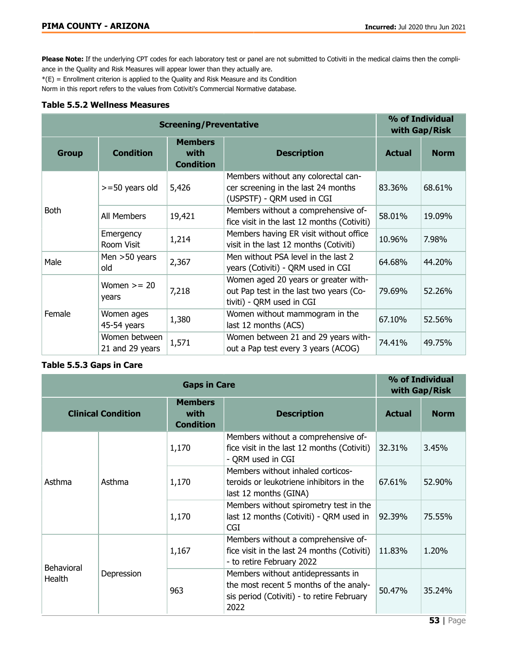Please Note: If the underlying CPT codes for each laboratory test or panel are not submitted to Cotiviti in the medical claims then the compliance in the Quality and Risk Measures will appear lower than they actually are.

 $*(E)$  = Enrollment criterion is applied to the Quality and Risk Measure and its Condition

Norm in this report refers to the values from Cotiviti's Commercial Normative database.

#### Table 5.5.2 Wellness Measures

|              | <b>Screening/Preventative</b>    |                                            |                                                                                                              |               |             |
|--------------|----------------------------------|--------------------------------------------|--------------------------------------------------------------------------------------------------------------|---------------|-------------|
| <b>Group</b> | <b>Condition</b>                 | <b>Members</b><br>with<br><b>Condition</b> | <b>Description</b>                                                                                           | <b>Actual</b> | <b>Norm</b> |
|              | $>=$ 50 years old                | 5,426                                      | Members without any colorectal can-<br>cer screening in the last 24 months<br>(USPSTF) - QRM used in CGI     | 83.36%        | 68.61%      |
| Both         | All Members                      | 19,421                                     | Members without a comprehensive of-<br>fice visit in the last 12 months (Cotiviti)                           | 58.01%        | 19.09%      |
|              | Emergency<br>Room Visit          | 1,214                                      | Members having ER visit without office<br>visit in the last 12 months (Cotiviti)                             | 10.96%        | 7.98%       |
| Male         | Men $>50$ years<br>old           | 2,367                                      | Men without PSA level in the last 2<br>years (Cotiviti) - QRM used in CGI                                    | 64.68%        | 44.20%      |
|              | Women $>= 20$<br>years           | 7,218                                      | Women aged 20 years or greater with-<br>out Pap test in the last two years (Co-<br>tiviti) - QRM used in CGI | 79.69%        | 52.26%      |
| Female       | Women ages<br>45-54 years        | 1,380                                      | Women without mammogram in the<br>last 12 months (ACS)                                                       | 67.10%        | 52.56%      |
|              | Women between<br>21 and 29 years | 1,571                                      | Women between 21 and 29 years with-<br>out a Pap test every 3 years (ACOG)                                   | 74.41%        | 49.75%      |

#### Table 5.5.3 Gaps in Care

|                             | <b>Gaps in Care</b>       |                                            |                                                                                                                                    |               |             |
|-----------------------------|---------------------------|--------------------------------------------|------------------------------------------------------------------------------------------------------------------------------------|---------------|-------------|
|                             | <b>Clinical Condition</b> | <b>Members</b><br>with<br><b>Condition</b> | <b>Description</b>                                                                                                                 | <b>Actual</b> | <b>Norm</b> |
|                             |                           | 1,170                                      | Members without a comprehensive of-<br>fice visit in the last 12 months (Cotiviti)<br>- QRM used in CGI                            | 32.31%        | 3.45%       |
| Asthma                      | Asthma                    | 1,170                                      | Members without inhaled corticos-<br>teroids or leukotriene inhibitors in the<br>last 12 months (GINA)                             | 67.61%        | 52.90%      |
|                             |                           | 1,170                                      | Members without spirometry test in the<br>last 12 months (Cotiviti) - QRM used in<br><b>CGI</b>                                    | 92.39%        | 75.55%      |
| <b>Behavioral</b><br>Health | Depression                | 1,167                                      | Members without a comprehensive of-<br>fice visit in the last 24 months (Cotiviti)<br>- to retire February 2022                    | 11.83%        | 1.20%       |
|                             |                           | 963                                        | Members without antidepressants in<br>the most recent 5 months of the analy-<br>sis period (Cotiviti) - to retire February<br>2022 | 50.47%        | 35.24%      |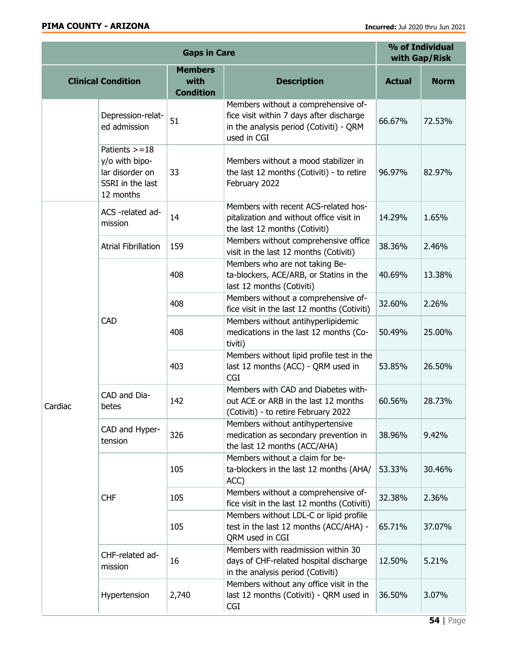| <b>Gaps in Care</b> |                                                                                         |                                            |                                                                                                                                           | % of Individual<br>with Gap/Risk |             |
|---------------------|-----------------------------------------------------------------------------------------|--------------------------------------------|-------------------------------------------------------------------------------------------------------------------------------------------|----------------------------------|-------------|
|                     | <b>Clinical Condition</b>                                                               | <b>Members</b><br>with<br><b>Condition</b> | <b>Description</b>                                                                                                                        | <b>Actual</b>                    | <b>Norm</b> |
|                     | Depression-relat-<br>ed admission                                                       | 51                                         | Members without a comprehensive of-<br>fice visit within 7 days after discharge<br>in the analysis period (Cotiviti) - QRM<br>used in CGI | 66.67%                           | 72.53%      |
|                     | Patients $> = 18$<br>y/o with bipo-<br>lar disorder on<br>SSRI in the last<br>12 months | 33                                         | Members without a mood stabilizer in<br>the last 12 months (Cotiviti) - to retire<br>February 2022                                        | 96.97%                           | 82.97%      |
|                     | ACS -related ad-<br>mission                                                             | 14                                         | Members with recent ACS-related hos-<br>pitalization and without office visit in<br>the last 12 months (Cotiviti)                         | 14.29%                           | 1.65%       |
|                     | <b>Atrial Fibrillation</b>                                                              | 159                                        | Members without comprehensive office<br>visit in the last 12 months (Cotiviti)                                                            | 38.36%                           | 2.46%       |
|                     | <b>CAD</b>                                                                              | 408                                        | Members who are not taking Be-<br>ta-blockers, ACE/ARB, or Statins in the<br>last 12 months (Cotiviti)                                    | 40.69%                           | 13.38%      |
|                     |                                                                                         | 408                                        | Members without a comprehensive of-<br>fice visit in the last 12 months (Cotiviti)                                                        | 32.60%                           | 2.26%       |
|                     |                                                                                         | 408                                        | Members without antihyperlipidemic<br>medications in the last 12 months (Co-<br>tiviti)                                                   | 50.49%                           | 25.00%      |
|                     |                                                                                         | 403                                        | Members without lipid profile test in the<br>last 12 months (ACC) - QRM used in<br><b>CGI</b>                                             | 53.85%                           | 26.50%      |
| Cardiac             | CAD and Dia-<br>betes                                                                   | 142                                        | Members with CAD and Diabetes with-<br>out ACE or ARB in the last 12 months<br>(Cotiviti) - to retire February 2022                       | 60.56%                           | 28.73%      |
|                     | CAD and Hyper-<br>tension                                                               | 326                                        | Members without antihypertensive<br>medication as secondary prevention in<br>the last 12 months (ACC/AHA)                                 | 38.96%                           | 9.42%       |
|                     | <b>CHF</b>                                                                              | 105                                        | Members without a claim for be-<br>ta-blockers in the last 12 months (AHA/<br>ACC)                                                        | 53.33%                           | 30.46%      |
|                     |                                                                                         | 105                                        | Members without a comprehensive of-<br>fice visit in the last 12 months (Cotiviti)                                                        | 32.38%                           | 2.36%       |
|                     |                                                                                         | 105                                        | Members without LDL-C or lipid profile<br>test in the last 12 months (ACC/AHA) -<br>QRM used in CGI                                       | 65.71%                           | 37.07%      |
|                     | CHF-related ad-<br>mission                                                              | 16                                         | Members with readmission within 30<br>days of CHF-related hospital discharge<br>in the analysis period (Cotiviti)                         | 12.50%                           | 5.21%       |
|                     | Hypertension                                                                            | 2,740                                      | Members without any office visit in the<br>last 12 months (Cotiviti) - QRM used in<br>CGI                                                 | 36.50%                           | 3.07%       |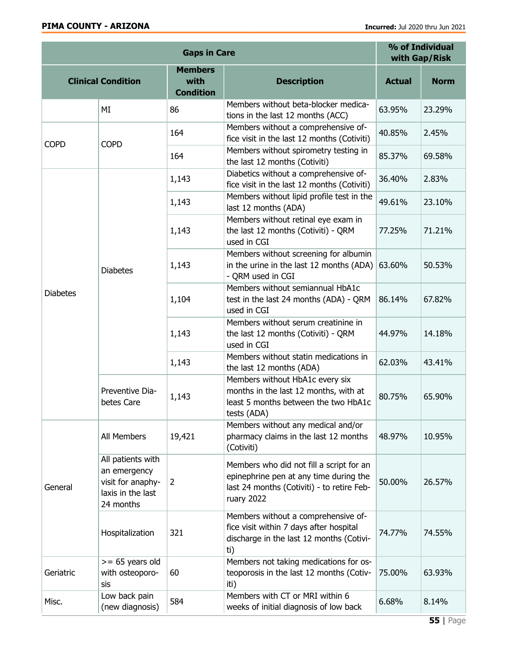| <b>Gaps in Care</b>       |                                                                                          |                                            |                                                                                                                                                | % of Individual<br>with Gap/Risk |             |
|---------------------------|------------------------------------------------------------------------------------------|--------------------------------------------|------------------------------------------------------------------------------------------------------------------------------------------------|----------------------------------|-------------|
| <b>Clinical Condition</b> |                                                                                          | <b>Members</b><br>with<br><b>Condition</b> | <b>Description</b>                                                                                                                             | <b>Actual</b>                    | <b>Norm</b> |
|                           | MI                                                                                       | 86                                         | Members without beta-blocker medica-<br>tions in the last 12 months (ACC)                                                                      | 63.95%                           | 23.29%      |
| <b>COPD</b>               | <b>COPD</b>                                                                              | 164                                        | Members without a comprehensive of-<br>fice visit in the last 12 months (Cotiviti)                                                             | 40.85%                           | 2.45%       |
|                           |                                                                                          | 164                                        | Members without spirometry testing in<br>the last 12 months (Cotiviti)                                                                         | 85.37%                           | 69.58%      |
|                           |                                                                                          | 1,143                                      | Diabetics without a comprehensive of-<br>fice visit in the last 12 months (Cotiviti)                                                           | 36.40%                           | 2.83%       |
|                           |                                                                                          | 1,143                                      | Members without lipid profile test in the<br>last 12 months (ADA)                                                                              | 49.61%                           | 23.10%      |
| <b>Diabetes</b>           | <b>Diabetes</b>                                                                          | 1,143                                      | Members without retinal eye exam in<br>the last 12 months (Cotiviti) - QRM<br>used in CGI                                                      | 77.25%                           | 71.21%      |
|                           |                                                                                          | 1,143                                      | Members without screening for albumin<br>in the urine in the last 12 months (ADA)<br>- QRM used in CGI                                         | 63.60%                           | 50.53%      |
|                           |                                                                                          | 1,104                                      | Members without semiannual HbA1c<br>test in the last 24 months (ADA) - QRM<br>used in CGI                                                      | 86.14%                           | 67.82%      |
|                           |                                                                                          | 1,143                                      | Members without serum creatinine in<br>the last 12 months (Cotiviti) - QRM<br>used in CGI                                                      | 44.97%                           | 14.18%      |
|                           |                                                                                          | 1,143                                      | Members without statin medications in<br>the last 12 months (ADA)                                                                              | 62.03%                           | 43.41%      |
|                           | Preventive Dia-<br>betes Care                                                            | 1,143                                      | Members without HbA1c every six<br>months in the last 12 months, with at<br>least 5 months between the two HbA1c<br>tests (ADA)                | 80.75%                           | 65.90%      |
| General                   | All Members                                                                              | 19,421                                     | Members without any medical and/or<br>pharmacy claims in the last 12 months<br>(Cotiviti)                                                      | 48.97%                           | 10.95%      |
|                           | All patients with<br>an emergency<br>visit for anaphy-<br>laxis in the last<br>24 months | $\overline{2}$                             | Members who did not fill a script for an<br>epinephrine pen at any time during the<br>last 24 months (Cotiviti) - to retire Feb-<br>ruary 2022 | 50.00%                           | 26.57%      |
|                           | Hospitalization                                                                          | 321                                        | Members without a comprehensive of-<br>fice visit within 7 days after hospital<br>discharge in the last 12 months (Cotivi-<br>ti)              | 74.77%                           | 74.55%      |
| Geriatric                 | $>= 65$ years old<br>with osteoporo-<br>sis                                              | 60                                         | Members not taking medications for os-<br>teoporosis in the last 12 months (Cotiv-<br>iti)                                                     | 75.00%                           | 63.93%      |
| Misc.                     | Low back pain<br>(new diagnosis)                                                         | 584                                        | Members with CT or MRI within 6<br>weeks of initial diagnosis of low back                                                                      | 6.68%                            | 8.14%       |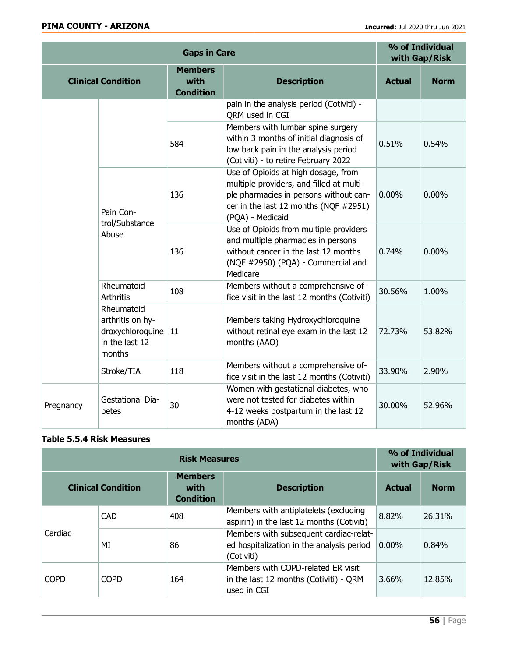| <b>Gaps in Care</b>                  |                                                                                |                                                                                                                                                                        | % of Individual<br>with Gap/Risk                                                                                                                                                       |               |             |
|--------------------------------------|--------------------------------------------------------------------------------|------------------------------------------------------------------------------------------------------------------------------------------------------------------------|----------------------------------------------------------------------------------------------------------------------------------------------------------------------------------------|---------------|-------------|
|                                      | <b>Clinical Condition</b>                                                      | <b>Members</b><br>with<br><b>Condition</b>                                                                                                                             | <b>Description</b>                                                                                                                                                                     | <b>Actual</b> | <b>Norm</b> |
|                                      |                                                                                |                                                                                                                                                                        | pain in the analysis period (Cotiviti) -<br>QRM used in CGI                                                                                                                            |               |             |
|                                      |                                                                                | 584                                                                                                                                                                    | Members with lumbar spine surgery<br>within 3 months of initial diagnosis of<br>low back pain in the analysis period<br>(Cotiviti) - to retire February 2022                           | 0.51%         | 0.54%       |
| Pain Con-<br>trol/Substance<br>Abuse |                                                                                | 136                                                                                                                                                                    | Use of Opioids at high dosage, from<br>multiple providers, and filled at multi-<br>ple pharmacies in persons without can-<br>cer in the last 12 months (NQF #2951)<br>(PQA) - Medicaid | 0.00%         | $0.00\%$    |
|                                      | 136                                                                            | Use of Opioids from multiple providers<br>and multiple pharmacies in persons<br>without cancer in the last 12 months<br>(NQF #2950) (PQA) - Commercial and<br>Medicare | 0.74%                                                                                                                                                                                  | 0.00%         |             |
|                                      | Rheumatoid<br>Arthritis                                                        | 108                                                                                                                                                                    | Members without a comprehensive of-<br>fice visit in the last 12 months (Cotiviti)                                                                                                     | 30.56%        | 1.00%       |
|                                      | Rheumatoid<br>arthritis on hy-<br>droxychloroquine<br>in the last 12<br>months | 11                                                                                                                                                                     | Members taking Hydroxychloroquine<br>without retinal eye exam in the last 12<br>months (AAO)                                                                                           | 72.73%        | 53.82%      |
|                                      | Stroke/TIA                                                                     | 118                                                                                                                                                                    | Members without a comprehensive of-<br>fice visit in the last 12 months (Cotiviti)                                                                                                     | 33.90%        | 2.90%       |
| Pregnancy                            | <b>Gestational Dia-</b><br>betes                                               | 30                                                                                                                                                                     | Women with gestational diabetes, who<br>were not tested for diabetes within<br>4-12 weeks postpartum in the last 12<br>months (ADA)                                                    | 30.00%        | 52.96%      |

### Table 5.5.4 Risk Measures

| <b>Risk Measures</b> |                           |                                            |                                                                                                   | % of Individual<br>with Gap/Risk |             |
|----------------------|---------------------------|--------------------------------------------|---------------------------------------------------------------------------------------------------|----------------------------------|-------------|
|                      | <b>Clinical Condition</b> | <b>Members</b><br>with<br><b>Condition</b> | <b>Description</b>                                                                                | <b>Actual</b>                    | <b>Norm</b> |
| Cardiac              | <b>CAD</b>                | 408                                        | Members with antiplatelets (excluding<br>aspirin) in the last 12 months (Cotiviti)                | 8.82%                            | 26.31%      |
|                      | МI                        | 86                                         | Members with subsequent cardiac-relat-<br>ed hospitalization in the analysis period<br>(Cotiviti) | $0.00\%$                         | 0.84%       |
| <b>COPD</b>          | <b>COPD</b>               | 164                                        | Members with COPD-related ER visit<br>in the last 12 months (Cotiviti) - QRM<br>used in CGI       | 3.66%                            | 12.85%      |